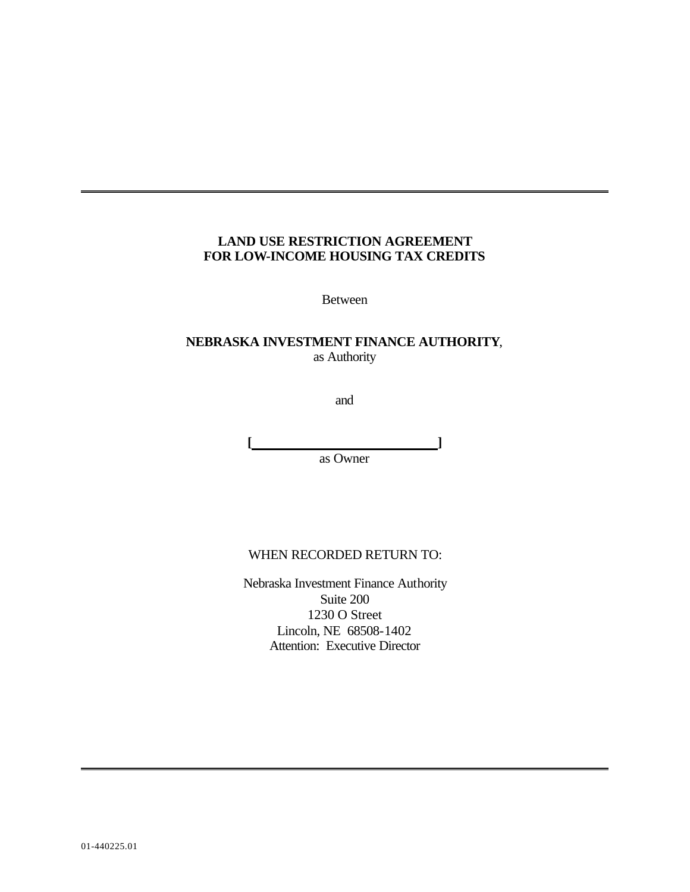## **LAND USE RESTRICTION AGREEMENT FOR LOW-INCOME HOUSING TAX CREDITS**

Between

## **NEBRASKA INVESTMENT FINANCE AUTHORITY**, as Authority

and

**[ ]** as Owner

## WHEN RECORDED RETURN TO:

Nebraska Investment Finance Authority Suite 200 1230 O Street Lincoln, NE 68508-1402 Attention: Executive Director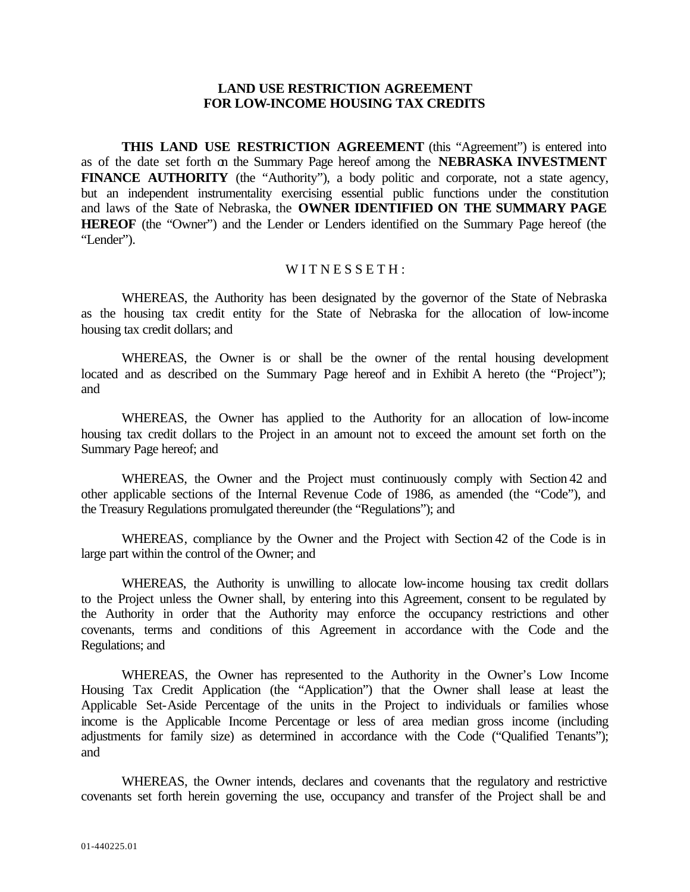## **LAND USE RESTRICTION AGREEMENT FOR LOW-INCOME HOUSING TAX CREDITS**

**THIS LAND USE RESTRICTION AGREEMENT** (this "Agreement") is entered into as of the date set forth on the Summary Page hereof among the **NEBRASKA INVESTMENT FINANCE AUTHORITY** (the "Authority"), a body politic and corporate, not a state agency, but an independent instrumentality exercising essential public functions under the constitution and laws of the State of Nebraska, the **OWNER IDENTIFIED ON THE SUMMARY PAGE HEREOF** (the "Owner") and the Lender or Lenders identified on the Summary Page hereof (the "Lender").

## WITNESSETH:

WHEREAS, the Authority has been designated by the governor of the State of Nebraska as the housing tax credit entity for the State of Nebraska for the allocation of low-income housing tax credit dollars; and

WHEREAS, the Owner is or shall be the owner of the rental housing development located and as described on the Summary Page hereof and in Exhibit A hereto (the "Project"); and

WHEREAS, the Owner has applied to the Authority for an allocation of low-income housing tax credit dollars to the Project in an amount not to exceed the amount set forth on the Summary Page hereof; and

WHEREAS, the Owner and the Project must continuously comply with Section 42 and other applicable sections of the Internal Revenue Code of 1986, as amended (the "Code"), and the Treasury Regulations promulgated thereunder (the "Regulations"); and

WHEREAS, compliance by the Owner and the Project with Section 42 of the Code is in large part within the control of the Owner; and

WHEREAS, the Authority is unwilling to allocate low-income housing tax credit dollars to the Project unless the Owner shall, by entering into this Agreement, consent to be regulated by the Authority in order that the Authority may enforce the occupancy restrictions and other covenants, terms and conditions of this Agreement in accordance with the Code and the Regulations; and

WHEREAS, the Owner has represented to the Authority in the Owner's Low Income Housing Tax Credit Application (the "Application") that the Owner shall lease at least the Applicable Set-Aside Percentage of the units in the Project to individuals or families whose income is the Applicable Income Percentage or less of area median gross income (including adjustments for family size) as determined in accordance with the Code ("Qualified Tenants"); and

WHEREAS, the Owner intends, declares and covenants that the regulatory and restrictive covenants set forth herein governing the use, occupancy and transfer of the Project shall be and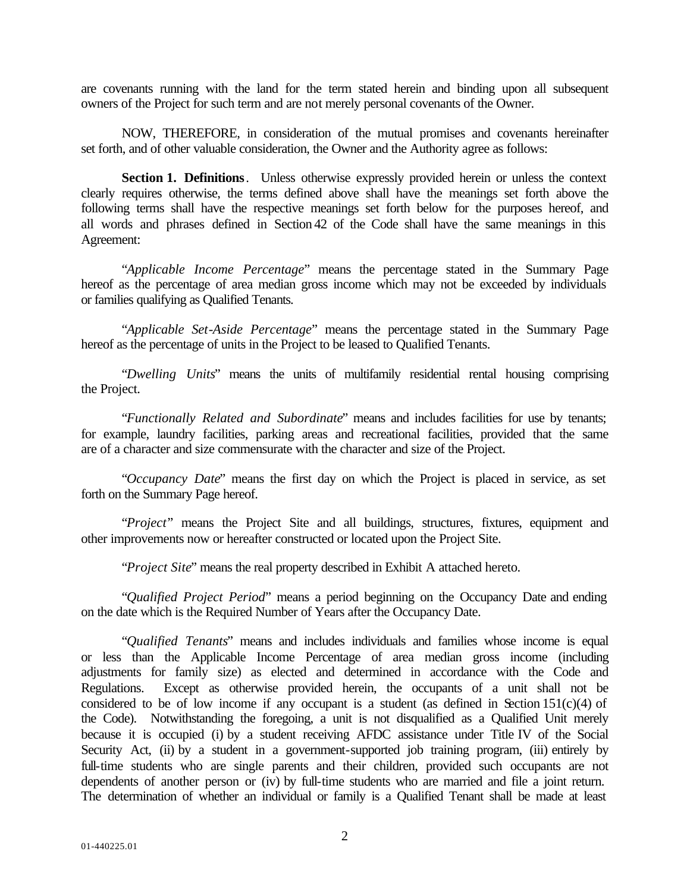are covenants running with the land for the term stated herein and binding upon all subsequent owners of the Project for such term and are not merely personal covenants of the Owner.

NOW, THEREFORE, in consideration of the mutual promises and covenants hereinafter set forth, and of other valuable consideration, the Owner and the Authority agree as follows:

**Section 1. Definitions**. Unless otherwise expressly provided herein or unless the context clearly requires otherwise, the terms defined above shall have the meanings set forth above the following terms shall have the respective meanings set forth below for the purposes hereof, and all words and phrases defined in Section 42 of the Code shall have the same meanings in this Agreement:

"*Applicable Income Percentage*" means the percentage stated in the Summary Page hereof as the percentage of area median gross income which may not be exceeded by individuals or families qualifying as Qualified Tenants.

"*Applicable Set-Aside Percentage*" means the percentage stated in the Summary Page hereof as the percentage of units in the Project to be leased to Qualified Tenants.

"*Dwelling Units*" means the units of multifamily residential rental housing comprising the Project.

"*Functionally Related and Subordinate*" means and includes facilities for use by tenants; for example, laundry facilities, parking areas and recreational facilities, provided that the same are of a character and size commensurate with the character and size of the Project.

"*Occupancy Date*" means the first day on which the Project is placed in service, as set forth on the Summary Page hereof.

"*Project*" means the Project Site and all buildings, structures, fixtures, equipment and other improvements now or hereafter constructed or located upon the Project Site.

"*Project Site*" means the real property described in Exhibit A attached hereto.

"*Qualified Project Period*" means a period beginning on the Occupancy Date and ending on the date which is the Required Number of Years after the Occupancy Date.

"*Qualified Tenants*" means and includes individuals and families whose income is equal or less than the Applicable Income Percentage of area median gross income (including adjustments for family size) as elected and determined in accordance with the Code and Regulations. Except as otherwise provided herein, the occupants of a unit shall not be considered to be of low income if any occupant is a student (as defined in Section  $151(c)(4)$  of the Code). Notwithstanding the foregoing, a unit is not disqualified as a Qualified Unit merely because it is occupied (i) by a student receiving AFDC assistance under Title IV of the Social Security Act, (ii) by a student in a government-supported job training program, (iii) entirely by full-time students who are single parents and their children, provided such occupants are not dependents of another person or (iv) by full-time students who are married and file a joint return. The determination of whether an individual or family is a Qualified Tenant shall be made at least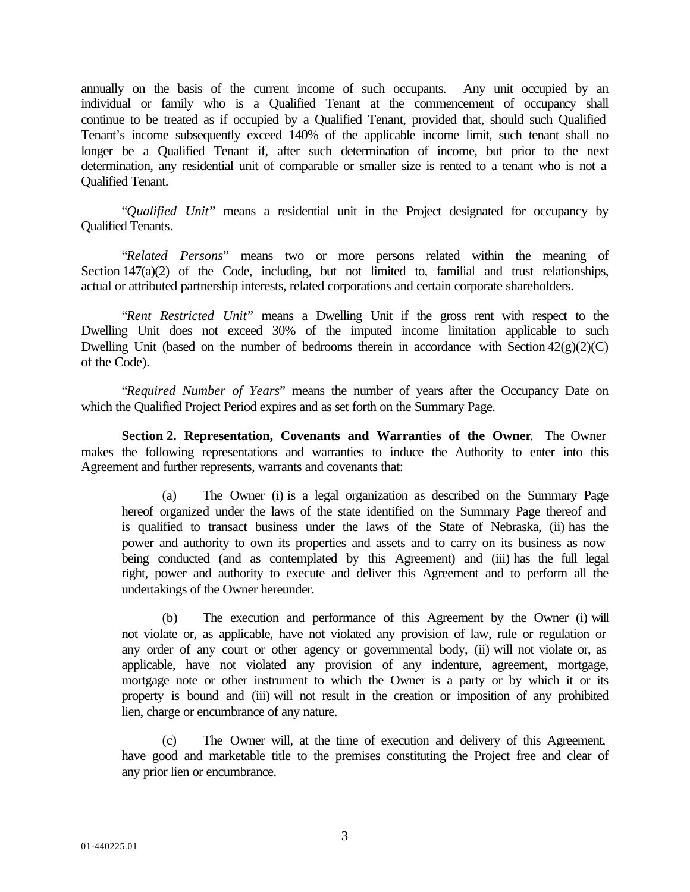annually on the basis of the current income of such occupants. Any unit occupied by an individual or family who is a Qualified Tenant at the commencement of occupancy shall continue to be treated as if occupied by a Qualified Tenant, provided that, should such Qualified Tenant's income subsequently exceed 140% of the applicable income limit, such tenant shall no longer be a Qualified Tenant if, after such determination of income, but prior to the next determination, any residential unit of comparable or smaller size is rented to a tenant who is not a Qualified Tenant.

"*Qualified Unit*" means a residential unit in the Project designated for occupancy by Qualified Tenants.

"*Related Persons*" means two or more persons related within the meaning of Section 147(a)(2) of the Code, including, but not limited to, familial and trust relationships, actual or attributed partnership interests, related corporations and certain corporate shareholders.

"*Rent Restricted Unit*" means a Dwelling Unit if the gross rent with respect to the Dwelling Unit does not exceed 30% of the imputed income limitation applicable to such Dwelling Unit (based on the number of bedrooms therein in accordance with Section  $42(g)(2)(C)$ of the Code).

"*Required Number of Years*" means the number of years after the Occupancy Date on which the Qualified Project Period expires and as set forth on the Summary Page.

**Section 2. Representation, Covenants and Warranties of the Owner**. The Owner makes the following representations and warranties to induce the Authority to enter into this Agreement and further represents, warrants and covenants that:

The Owner (i) is a legal organization as described on the Summary Page hereof organized under the laws of the state identified on the Summary Page thereof and is qualified to transact business under the laws of the State of Nebraska, (ii) has the power and authority to own its properties and assets and to carry on its business as now being conducted (and as contemplated by this Agreement) and (iii) has the full legal right, power and authority to execute and deliver this Agreement and to perform all the undertakings of the Owner hereunder.

(b) The execution and performance of this Agreement by the Owner (i) will not violate or, as applicable, have not violated any provision of law, rule or regulation or any order of any court or other agency or governmental body, (ii) will not violate or, as applicable, have not violated any provision of any indenture, agreement, mortgage, mortgage note or other instrument to which the Owner is a party or by which it or its property is bound and (iii) will not result in the creation or imposition of any prohibited lien, charge or encumbrance of any nature.

(c) The Owner will, at the time of execution and delivery of this Agreement, have good and marketable title to the premises constituting the Project free and clear of any prior lien or encumbrance.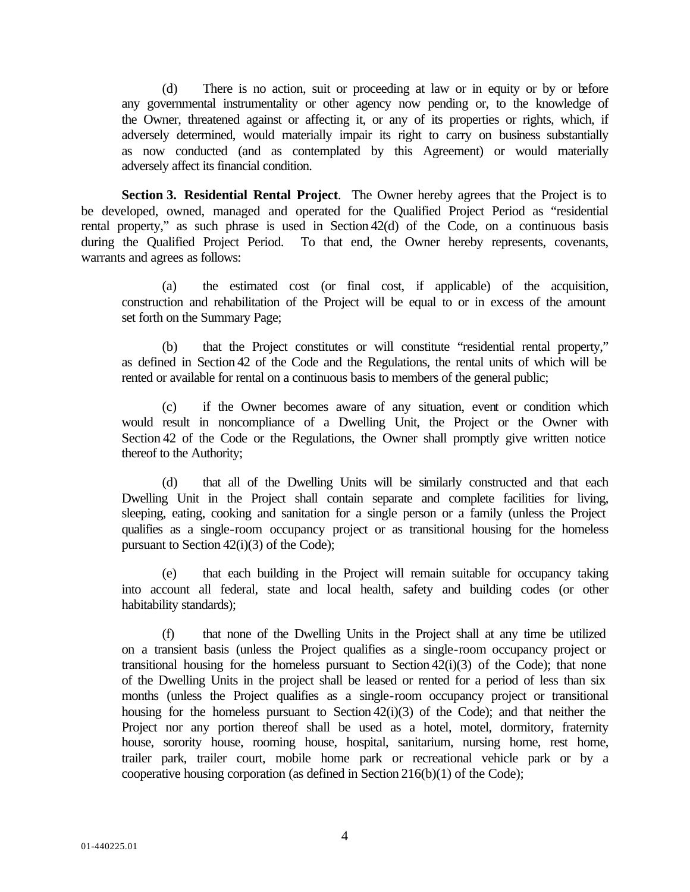(d) There is no action, suit or proceeding at law or in equity or by or before any governmental instrumentality or other agency now pending or, to the knowledge of the Owner, threatened against or affecting it, or any of its properties or rights, which, if adversely determined, would materially impair its right to carry on business substantially as now conducted (and as contemplated by this Agreement) or would materially adversely affect its financial condition.

**Section 3. Residential Rental Project**. The Owner hereby agrees that the Project is to be developed, owned, managed and operated for the Qualified Project Period as "residential rental property," as such phrase is used in Section 42(d) of the Code, on a continuous basis during the Qualified Project Period. To that end, the Owner hereby represents, covenants, warrants and agrees as follows:

(a) the estimated cost (or final cost, if applicable) of the acquisition, construction and rehabilitation of the Project will be equal to or in excess of the amount set forth on the Summary Page;

(b) that the Project constitutes or will constitute "residential rental property," as defined in Section 42 of the Code and the Regulations, the rental units of which will be rented or available for rental on a continuous basis to members of the general public;

(c) if the Owner becomes aware of any situation, event or condition which would result in noncompliance of a Dwelling Unit, the Project or the Owner with Section 42 of the Code or the Regulations, the Owner shall promptly give written notice thereof to the Authority;

(d) that all of the Dwelling Units will be similarly constructed and that each Dwelling Unit in the Project shall contain separate and complete facilities for living, sleeping, eating, cooking and sanitation for a single person or a family (unless the Project qualifies as a single-room occupancy project or as transitional housing for the homeless pursuant to Section 42(i)(3) of the Code);

(e) that each building in the Project will remain suitable for occupancy taking into account all federal, state and local health, safety and building codes (or other habitability standards);

(f) that none of the Dwelling Units in the Project shall at any time be utilized on a transient basis (unless the Project qualifies as a single-room occupancy project or transitional housing for the homeless pursuant to Section  $42(i)(3)$  of the Code); that none of the Dwelling Units in the project shall be leased or rented for a period of less than six months (unless the Project qualifies as a single-room occupancy project or transitional housing for the homeless pursuant to Section 42(i)(3) of the Code); and that neither the Project nor any portion thereof shall be used as a hotel, motel, dormitory, fraternity house, sorority house, rooming house, hospital, sanitarium, nursing home, rest home, trailer park, trailer court, mobile home park or recreational vehicle park or by a cooperative housing corporation (as defined in Section 216(b)(1) of the Code);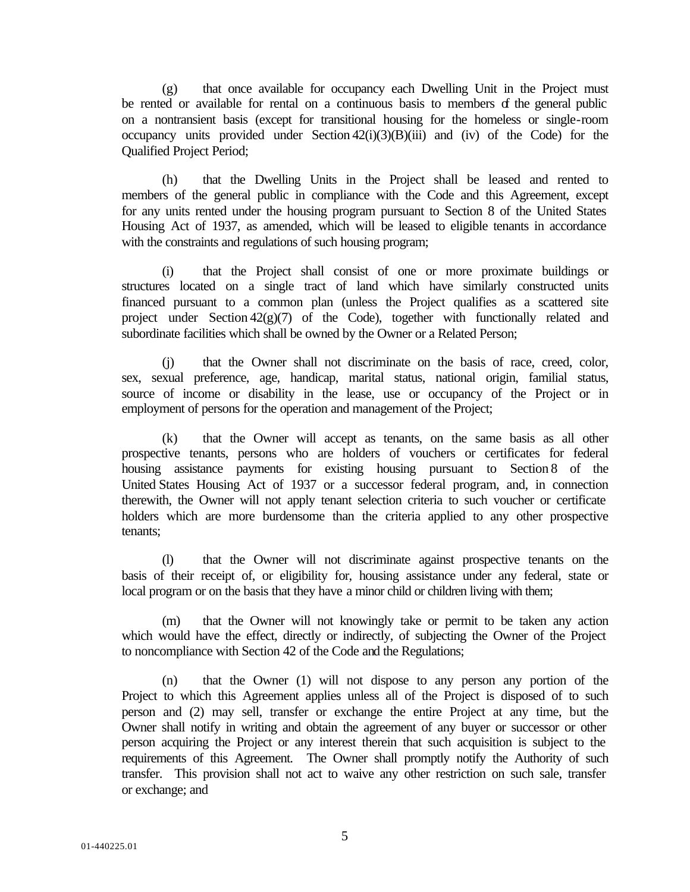(g) that once available for occupancy each Dwelling Unit in the Project must be rented or available for rental on a continuous basis to members of the general public on a nontransient basis (except for transitional housing for the homeless or single-room occupancy units provided under Section  $42(i)(3)(B)(iii)$  and (iv) of the Code) for the Qualified Project Period;

(h) that the Dwelling Units in the Project shall be leased and rented to members of the general public in compliance with the Code and this Agreement, except for any units rented under the housing program pursuant to Section 8 of the United States Housing Act of 1937, as amended, which will be leased to eligible tenants in accordance with the constraints and regulations of such housing program;

(i) that the Project shall consist of one or more proximate buildings or structures located on a single tract of land which have similarly constructed units financed pursuant to a common plan (unless the Project qualifies as a scattered site project under Section  $42(g)(7)$  of the Code), together with functionally related and subordinate facilities which shall be owned by the Owner or a Related Person;

(j) that the Owner shall not discriminate on the basis of race, creed, color, sex, sexual preference, age, handicap, marital status, national origin, familial status, source of income or disability in the lease, use or occupancy of the Project or in employment of persons for the operation and management of the Project;

(k) that the Owner will accept as tenants, on the same basis as all other prospective tenants, persons who are holders of vouchers or certificates for federal housing assistance payments for existing housing pursuant to Section 8 of the United States Housing Act of 1937 or a successor federal program, and, in connection therewith, the Owner will not apply tenant selection criteria to such voucher or certificate holders which are more burdensome than the criteria applied to any other prospective tenants;

(l) that the Owner will not discriminate against prospective tenants on the basis of their receipt of, or eligibility for, housing assistance under any federal, state or local program or on the basis that they have a minor child or children living with them;

(m) that the Owner will not knowingly take or permit to be taken any action which would have the effect, directly or indirectly, of subjecting the Owner of the Project to noncompliance with Section 42 of the Code and the Regulations;

(n) that the Owner (1) will not dispose to any person any portion of the Project to which this Agreement applies unless all of the Project is disposed of to such person and (2) may sell, transfer or exchange the entire Project at any time, but the Owner shall notify in writing and obtain the agreement of any buyer or successor or other person acquiring the Project or any interest therein that such acquisition is subject to the requirements of this Agreement. The Owner shall promptly notify the Authority of such transfer. This provision shall not act to waive any other restriction on such sale, transfer or exchange; and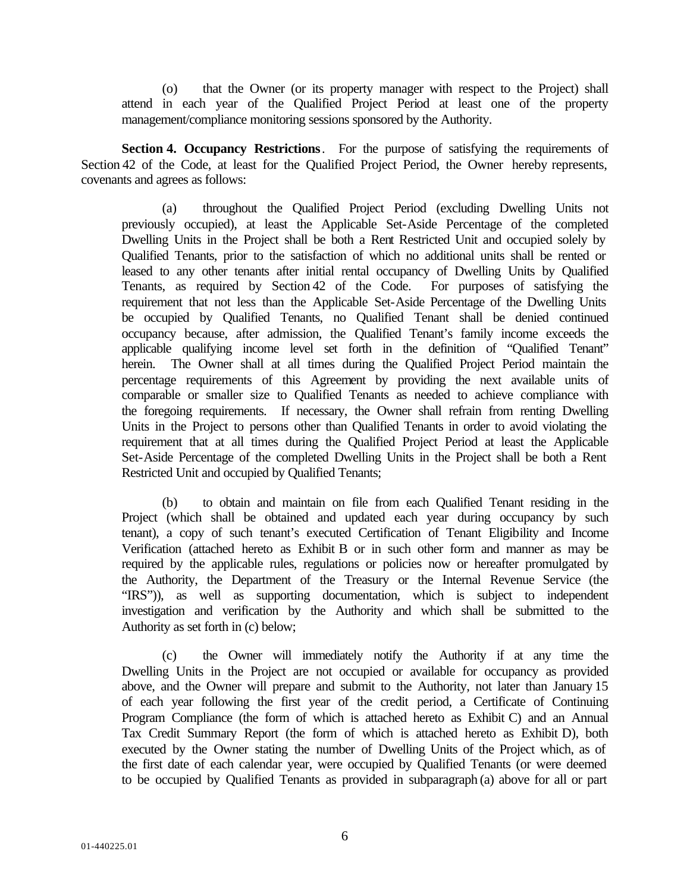(o) that the Owner (or its property manager with respect to the Project) shall attend in each year of the Qualified Project Period at least one of the property management/compliance monitoring sessions sponsored by the Authority.

**Section 4. Occupancy Restrictions**. For the purpose of satisfying the requirements of Section 42 of the Code, at least for the Qualified Project Period, the Owner hereby represents, covenants and agrees as follows:

(a) throughout the Qualified Project Period (excluding Dwelling Units not previously occupied), at least the Applicable Set-Aside Percentage of the completed Dwelling Units in the Project shall be both a Rent Restricted Unit and occupied solely by Qualified Tenants, prior to the satisfaction of which no additional units shall be rented or leased to any other tenants after initial rental occupancy of Dwelling Units by Qualified Tenants, as required by Section 42 of the Code. For purposes of satisfying the requirement that not less than the Applicable Set-Aside Percentage of the Dwelling Units be occupied by Qualified Tenants, no Qualified Tenant shall be denied continued occupancy because, after admission, the Qualified Tenant's family income exceeds the applicable qualifying income level set forth in the definition of "Qualified Tenant" herein. The Owner shall at all times during the Qualified Project Period maintain the percentage requirements of this Agreement by providing the next available units of comparable or smaller size to Qualified Tenants as needed to achieve compliance with the foregoing requirements. If necessary, the Owner shall refrain from renting Dwelling Units in the Project to persons other than Qualified Tenants in order to avoid violating the requirement that at all times during the Qualified Project Period at least the Applicable Set-Aside Percentage of the completed Dwelling Units in the Project shall be both a Rent Restricted Unit and occupied by Qualified Tenants;

(b) to obtain and maintain on file from each Qualified Tenant residing in the Project (which shall be obtained and updated each year during occupancy by such tenant), a copy of such tenant's executed Certification of Tenant Eligibility and Income Verification (attached hereto as Exhibit B or in such other form and manner as may be required by the applicable rules, regulations or policies now or hereafter promulgated by the Authority, the Department of the Treasury or the Internal Revenue Service (the "IRS")), as well as supporting documentation, which is subject to independent investigation and verification by the Authority and which shall be submitted to the Authority as set forth in (c) below;

(c) the Owner will immediately notify the Authority if at any time the Dwelling Units in the Project are not occupied or available for occupancy as provided above, and the Owner will prepare and submit to the Authority, not later than January 15 of each year following the first year of the credit period, a Certificate of Continuing Program Compliance (the form of which is attached hereto as Exhibit C) and an Annual Tax Credit Summary Report (the form of which is attached hereto as Exhibit D), both executed by the Owner stating the number of Dwelling Units of the Project which, as of the first date of each calendar year, were occupied by Qualified Tenants (or were deemed to be occupied by Qualified Tenants as provided in subparagraph (a) above for all or part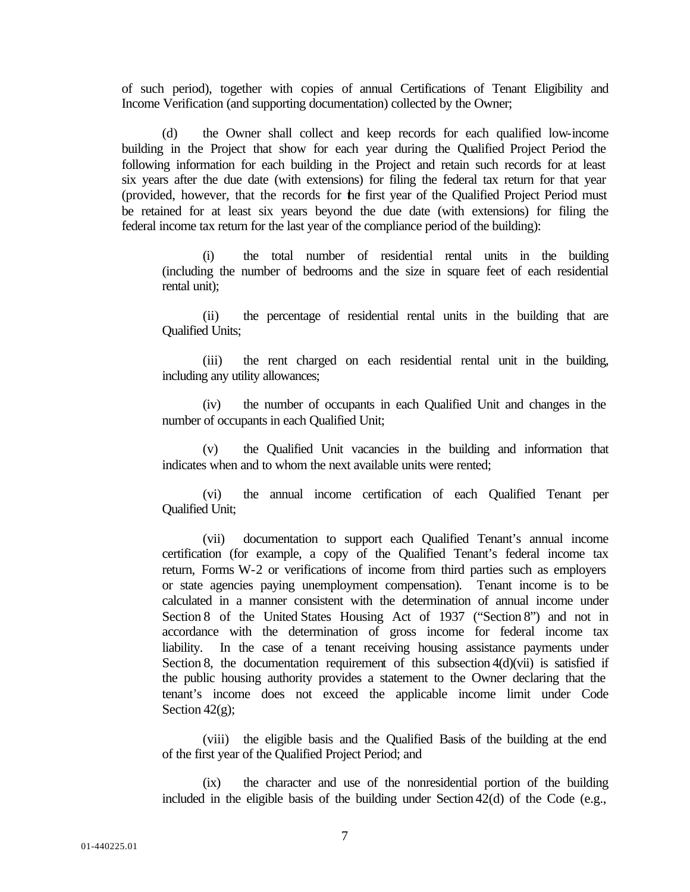of such period), together with copies of annual Certifications of Tenant Eligibility and Income Verification (and supporting documentation) collected by the Owner;

(d) the Owner shall collect and keep records for each qualified low-income building in the Project that show for each year during the Qualified Project Period the following information for each building in the Project and retain such records for at least six years after the due date (with extensions) for filing the federal tax return for that year (provided, however, that the records for the first year of the Qualified Project Period must be retained for at least six years beyond the due date (with extensions) for filing the federal income tax return for the last year of the compliance period of the building):

(i) the total number of residential rental units in the building (including the number of bedrooms and the size in square feet of each residential rental unit);

(ii) the percentage of residential rental units in the building that are Qualified Units;

(iii) the rent charged on each residential rental unit in the building, including any utility allowances;

(iv) the number of occupants in each Qualified Unit and changes in the number of occupants in each Qualified Unit;

(v) the Qualified Unit vacancies in the building and information that indicates when and to whom the next available units were rented;

(vi) the annual income certification of each Qualified Tenant per Qualified Unit;

(vii) documentation to support each Qualified Tenant's annual income certification (for example, a copy of the Qualified Tenant's federal income tax return, Forms W-2 or verifications of income from third parties such as employers or state agencies paying unemployment compensation). Tenant income is to be calculated in a manner consistent with the determination of annual income under Section 8 of the United States Housing Act of 1937 ("Section 8") and not in accordance with the determination of gross income for federal income tax liability. In the case of a tenant receiving housing assistance payments under Section 8, the documentation requirement of this subsection  $4(d)(\vec{v})$  is satisfied if the public housing authority provides a statement to the Owner declaring that the tenant's income does not exceed the applicable income limit under Code Section  $42(g)$ ;

(viii) the eligible basis and the Qualified Basis of the building at the end of the first year of the Qualified Project Period; and

(ix) the character and use of the nonresidential portion of the building included in the eligible basis of the building under Section 42(d) of the Code (e.g.,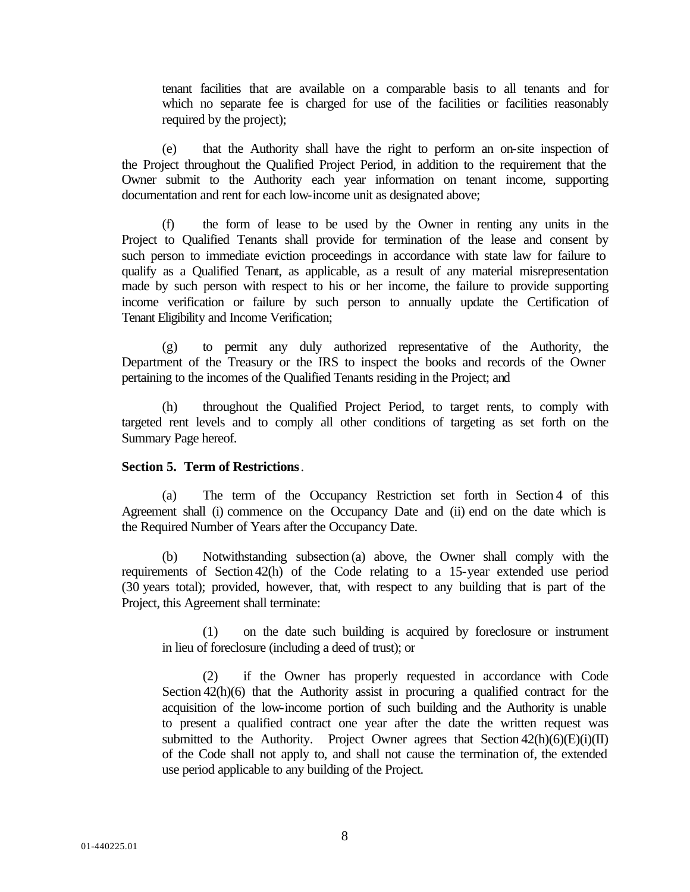tenant facilities that are available on a comparable basis to all tenants and for which no separate fee is charged for use of the facilities or facilities reasonably required by the project);

(e) that the Authority shall have the right to perform an on-site inspection of the Project throughout the Qualified Project Period, in addition to the requirement that the Owner submit to the Authority each year information on tenant income, supporting documentation and rent for each low-income unit as designated above;

(f) the form of lease to be used by the Owner in renting any units in the Project to Qualified Tenants shall provide for termination of the lease and consent by such person to immediate eviction proceedings in accordance with state law for failure to qualify as a Qualified Tenant, as applicable, as a result of any material misrepresentation made by such person with respect to his or her income, the failure to provide supporting income verification or failure by such person to annually update the Certification of Tenant Eligibility and Income Verification;

(g) to permit any duly authorized representative of the Authority, the Department of the Treasury or the IRS to inspect the books and records of the Owner pertaining to the incomes of the Qualified Tenants residing in the Project; and

(h) throughout the Qualified Project Period, to target rents, to comply with targeted rent levels and to comply all other conditions of targeting as set forth on the Summary Page hereof.

## **Section 5. Term of Restrictions**.

(a) The term of the Occupancy Restriction set forth in Section 4 of this Agreement shall (i) commence on the Occupancy Date and (ii) end on the date which is the Required Number of Years after the Occupancy Date.

(b) Notwithstanding subsection (a) above, the Owner shall comply with the requirements of Section 42(h) of the Code relating to a 15-year extended use period (30 years total); provided, however, that, with respect to any building that is part of the Project, this Agreement shall terminate:

(1) on the date such building is acquired by foreclosure or instrument in lieu of foreclosure (including a deed of trust); or

(2) if the Owner has properly requested in accordance with Code Section 42(h)(6) that the Authority assist in procuring a qualified contract for the acquisition of the low-income portion of such building and the Authority is unable to present a qualified contract one year after the date the written request was submitted to the Authority. Project Owner agrees that Section  $42(h)(6)(E)(i)(II)$ of the Code shall not apply to, and shall not cause the termination of, the extended use period applicable to any building of the Project.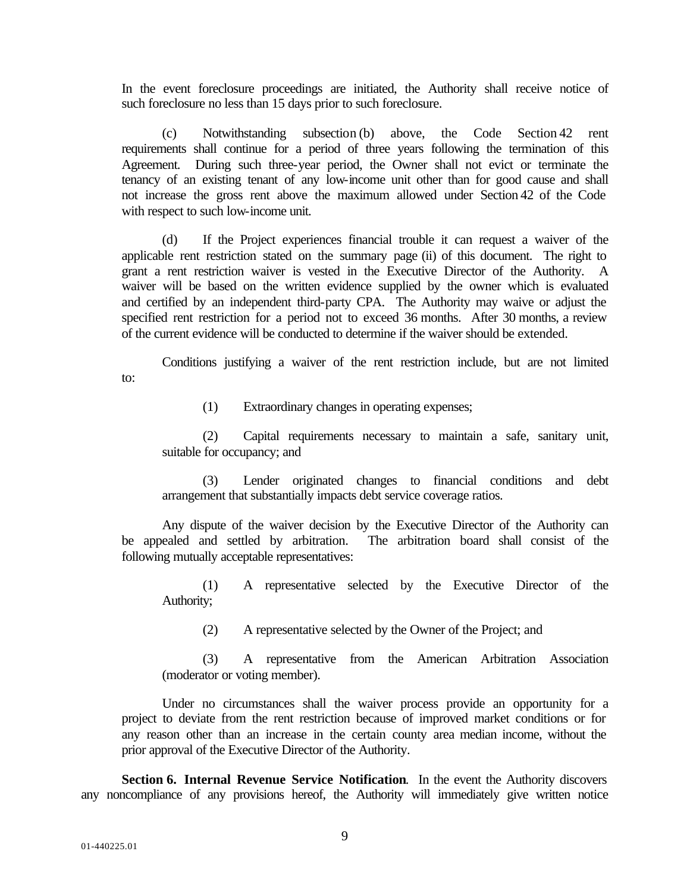In the event foreclosure proceedings are initiated, the Authority shall receive notice of such foreclosure no less than 15 days prior to such foreclosure.

(c) Notwithstanding subsection (b) above, the Code Section 42 rent requirements shall continue for a period of three years following the termination of this Agreement. During such three-year period, the Owner shall not evict or terminate the tenancy of an existing tenant of any low-income unit other than for good cause and shall not increase the gross rent above the maximum allowed under Section 42 of the Code with respect to such low-income unit.

(d) If the Project experiences financial trouble it can request a waiver of the applicable rent restriction stated on the summary page (ii) of this document. The right to grant a rent restriction waiver is vested in the Executive Director of the Authority. A waiver will be based on the written evidence supplied by the owner which is evaluated and certified by an independent third-party CPA. The Authority may waive or adjust the specified rent restriction for a period not to exceed 36 months. After 30 months, a review of the current evidence will be conducted to determine if the waiver should be extended.

Conditions justifying a waiver of the rent restriction include, but are not limited to:

(1) Extraordinary changes in operating expenses;

(2) Capital requirements necessary to maintain a safe, sanitary unit, suitable for occupancy; and

(3) Lender originated changes to financial conditions and debt arrangement that substantially impacts debt service coverage ratios.

Any dispute of the waiver decision by the Executive Director of the Authority can be appealed and settled by arbitration. The arbitration board shall consist of the following mutually acceptable representatives:

(1) A representative selected by the Executive Director of the Authority;

(2) A representative selected by the Owner of the Project; and

(3) A representative from the American Arbitration Association (moderator or voting member).

Under no circumstances shall the waiver process provide an opportunity for a project to deviate from the rent restriction because of improved market conditions or for any reason other than an increase in the certain county area median income, without the prior approval of the Executive Director of the Authority.

**Section 6. Internal Revenue Service Notification**. In the event the Authority discovers any noncompliance of any provisions hereof, the Authority will immediately give written notice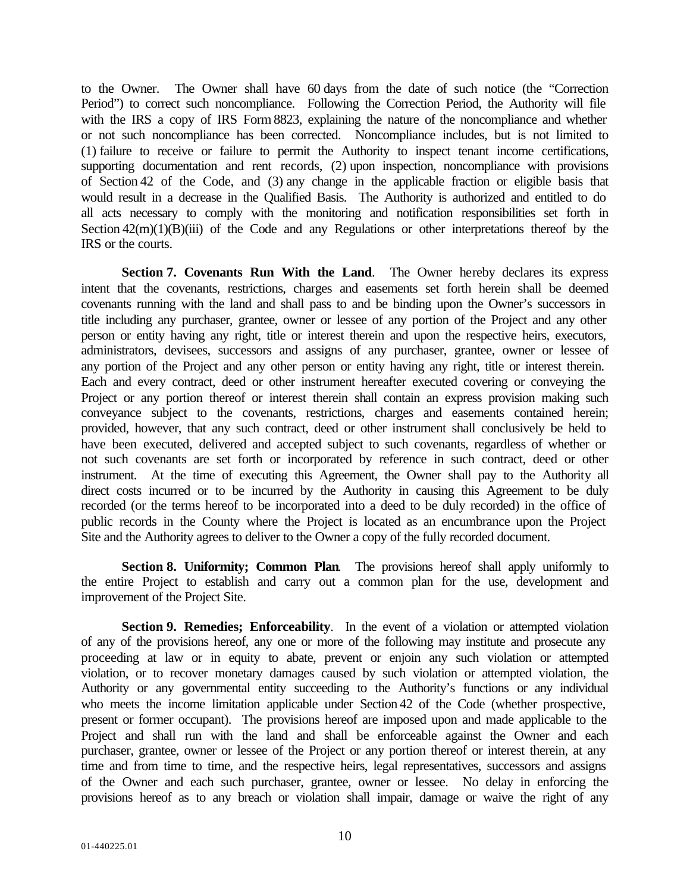to the Owner. The Owner shall have 60 days from the date of such notice (the "Correction Period") to correct such noncompliance. Following the Correction Period, the Authority will file with the IRS a copy of IRS Form 8823, explaining the nature of the noncompliance and whether or not such noncompliance has been corrected. Noncompliance includes, but is not limited to (1) failure to receive or failure to permit the Authority to inspect tenant income certifications, supporting documentation and rent records, (2) upon inspection, noncompliance with provisions of Section 42 of the Code, and (3) any change in the applicable fraction or eligible basis that would result in a decrease in the Qualified Basis. The Authority is authorized and entitled to do all acts necessary to comply with the monitoring and notification responsibilities set forth in Section  $42(m)(1)(B)(iii)$  of the Code and any Regulations or other interpretations thereof by the IRS or the courts.

**Section 7. Covenants Run With the Land**. The Owner hereby declares its express intent that the covenants, restrictions, charges and easements set forth herein shall be deemed covenants running with the land and shall pass to and be binding upon the Owner's successors in title including any purchaser, grantee, owner or lessee of any portion of the Project and any other person or entity having any right, title or interest therein and upon the respective heirs, executors, administrators, devisees, successors and assigns of any purchaser, grantee, owner or lessee of any portion of the Project and any other person or entity having any right, title or interest therein. Each and every contract, deed or other instrument hereafter executed covering or conveying the Project or any portion thereof or interest therein shall contain an express provision making such conveyance subject to the covenants, restrictions, charges and easements contained herein; provided, however, that any such contract, deed or other instrument shall conclusively be held to have been executed, delivered and accepted subject to such covenants, regardless of whether or not such covenants are set forth or incorporated by reference in such contract, deed or other instrument. At the time of executing this Agreement, the Owner shall pay to the Authority all direct costs incurred or to be incurred by the Authority in causing this Agreement to be duly recorded (or the terms hereof to be incorporated into a deed to be duly recorded) in the office of public records in the County where the Project is located as an encumbrance upon the Project Site and the Authority agrees to deliver to the Owner a copy of the fully recorded document.

**Section 8. Uniformity; Common Plan**. The provisions hereof shall apply uniformly to the entire Project to establish and carry out a common plan for the use, development and improvement of the Project Site.

**Section 9. Remedies; Enforceability**. In the event of a violation or attempted violation of any of the provisions hereof, any one or more of the following may institute and prosecute any proceeding at law or in equity to abate, prevent or enjoin any such violation or attempted violation, or to recover monetary damages caused by such violation or attempted violation, the Authority or any governmental entity succeeding to the Authority's functions or any individual who meets the income limitation applicable under Section 42 of the Code (whether prospective, present or former occupant). The provisions hereof are imposed upon and made applicable to the Project and shall run with the land and shall be enforceable against the Owner and each purchaser, grantee, owner or lessee of the Project or any portion thereof or interest therein, at any time and from time to time, and the respective heirs, legal representatives, successors and assigns of the Owner and each such purchaser, grantee, owner or lessee. No delay in enforcing the provisions hereof as to any breach or violation shall impair, damage or waive the right of any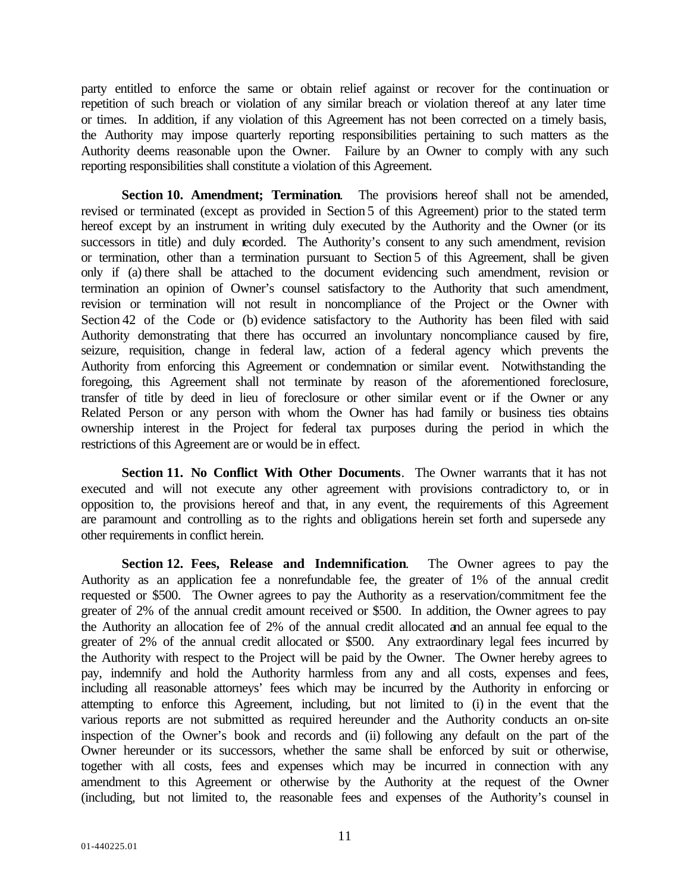party entitled to enforce the same or obtain relief against or recover for the continuation or repetition of such breach or violation of any similar breach or violation thereof at any later time or times. In addition, if any violation of this Agreement has not been corrected on a timely basis, the Authority may impose quarterly reporting responsibilities pertaining to such matters as the Authority deems reasonable upon the Owner. Failure by an Owner to comply with any such reporting responsibilities shall constitute a violation of this Agreement.

**Section 10. Amendment; Termination**. The provisions hereof shall not be amended, revised or terminated (except as provided in Section 5 of this Agreement) prior to the stated term hereof except by an instrument in writing duly executed by the Authority and the Owner (or its successors in title) and duly recorded. The Authority's consent to any such amendment, revision or termination, other than a termination pursuant to Section 5 of this Agreement, shall be given only if (a) there shall be attached to the document evidencing such amendment, revision or termination an opinion of Owner's counsel satisfactory to the Authority that such amendment, revision or termination will not result in noncompliance of the Project or the Owner with Section 42 of the Code or (b) evidence satisfactory to the Authority has been filed with said Authority demonstrating that there has occurred an involuntary noncompliance caused by fire, seizure, requisition, change in federal law, action of a federal agency which prevents the Authority from enforcing this Agreement or condemnation or similar event. Notwithstanding the foregoing, this Agreement shall not terminate by reason of the aforementioned foreclosure, transfer of title by deed in lieu of foreclosure or other similar event or if the Owner or any Related Person or any person with whom the Owner has had family or business ties obtains ownership interest in the Project for federal tax purposes during the period in which the restrictions of this Agreement are or would be in effect.

**Section 11. No Conflict With Other Documents**. The Owner warrants that it has not executed and will not execute any other agreement with provisions contradictory to, or in opposition to, the provisions hereof and that, in any event, the requirements of this Agreement are paramount and controlling as to the rights and obligations herein set forth and supersede any other requirements in conflict herein.

**Section 12. Fees, Release and Indemnification**. The Owner agrees to pay the Authority as an application fee a nonrefundable fee, the greater of 1% of the annual credit requested or \$500. The Owner agrees to pay the Authority as a reservation/commitment fee the greater of 2% of the annual credit amount received or \$500. In addition, the Owner agrees to pay the Authority an allocation fee of 2% of the annual credit allocated and an annual fee equal to the greater of 2% of the annual credit allocated or \$500. Any extraordinary legal fees incurred by the Authority with respect to the Project will be paid by the Owner. The Owner hereby agrees to pay, indemnify and hold the Authority harmless from any and all costs, expenses and fees, including all reasonable attorneys' fees which may be incurred by the Authority in enforcing or attempting to enforce this Agreement, including, but not limited to (i) in the event that the various reports are not submitted as required hereunder and the Authority conducts an on-site inspection of the Owner's book and records and (ii) following any default on the part of the Owner hereunder or its successors, whether the same shall be enforced by suit or otherwise, together with all costs, fees and expenses which may be incurred in connection with any amendment to this Agreement or otherwise by the Authority at the request of the Owner (including, but not limited to, the reasonable fees and expenses of the Authority's counsel in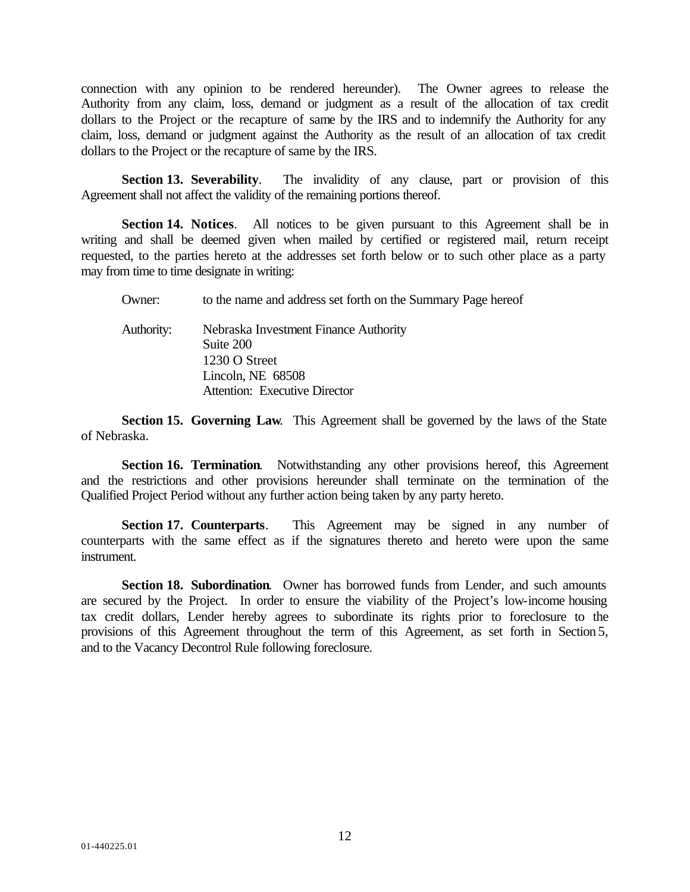connection with any opinion to be rendered hereunder). The Owner agrees to release the Authority from any claim, loss, demand or judgment as a result of the allocation of tax credit dollars to the Project or the recapture of same by the IRS and to indemnify the Authority for any claim, loss, demand or judgment against the Authority as the result of an allocation of tax credit dollars to the Project or the recapture of same by the IRS.

**Section 13. Severability**. The invalidity of any clause, part or provision of this Agreement shall not affect the validity of the remaining portions thereof.

**Section 14. Notices**. All notices to be given pursuant to this Agreement shall be in writing and shall be deemed given when mailed by certified or registered mail, return receipt requested, to the parties hereto at the addresses set forth below or to such other place as a party may from time to time designate in writing:

Owner: to the name and address set forth on the Summary Page hereof Authority: Nebraska Investment Finance Authority Suite 200 1230 O Street Lincoln, NE 68508 Attention: Executive Director

**Section 15. Governing Law**. This Agreement shall be governed by the laws of the State of Nebraska.

**Section 16. Termination.** Notwithstanding any other provisions hereof, this Agreement and the restrictions and other provisions hereunder shall terminate on the termination of the Qualified Project Period without any further action being taken by any party hereto.

**Section 17. Counterparts**. This Agreement may be signed in any number of counterparts with the same effect as if the signatures thereto and hereto were upon the same instrument.

**Section 18. Subordination**. Owner has borrowed funds from Lender, and such amounts are secured by the Project. In order to ensure the viability of the Project's low-income housing tax credit dollars, Lender hereby agrees to subordinate its rights prior to foreclosure to the provisions of this Agreement throughout the term of this Agreement, as set forth in Section 5, and to the Vacancy Decontrol Rule following foreclosure.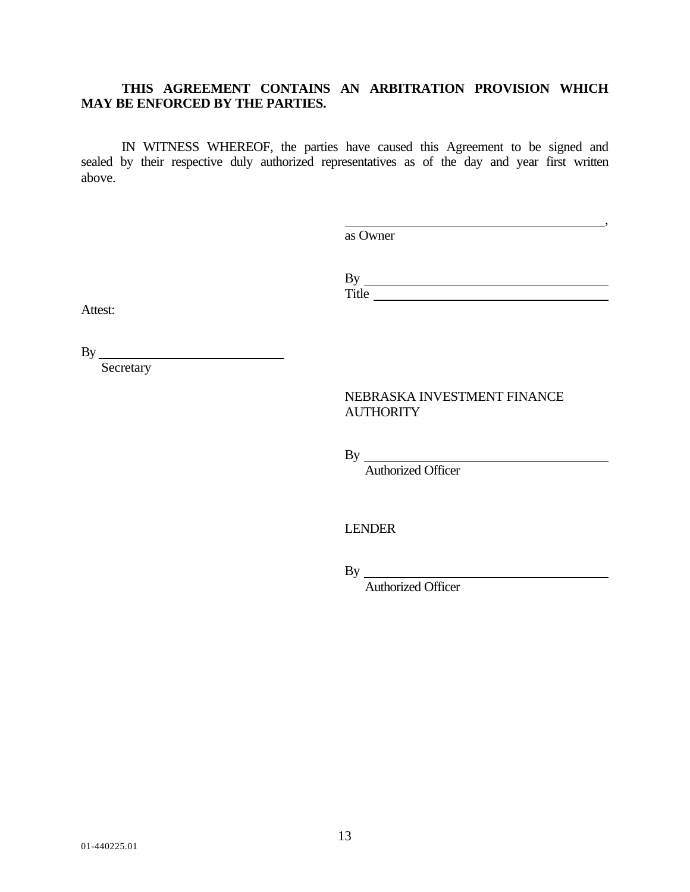## **THIS AGREEMENT CONTAINS AN ARBITRATION PROVISION WHICH MAY BE ENFORCED BY THE PARTIES.**

IN WITNESS WHEREOF, the parties have caused this Agreement to be signed and sealed by their respective duly authorized representatives as of the day and year first written above.

> , as Owner

> By Title

Attest:

By

**Secretary** 

## NEBRASKA INVESTMENT FINANCE **AUTHORITY**

By

Authorized Officer

LENDER

By

Authorized Officer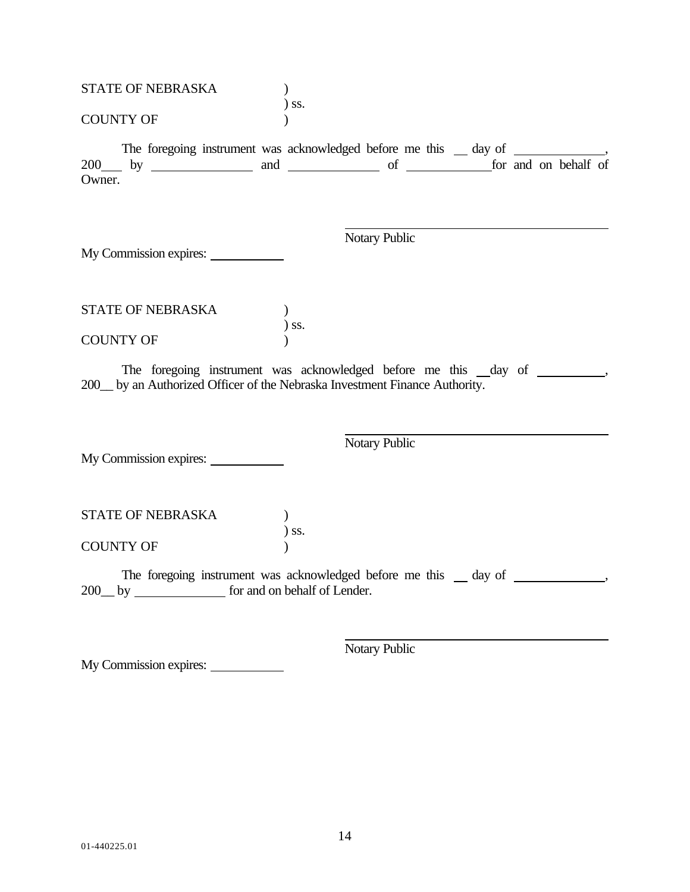| STATE OF NEBRASKA      |                                                                                   |
|------------------------|-----------------------------------------------------------------------------------|
| <b>COUNTY OF</b>       | $)$ SS.                                                                           |
| Owner.                 | The foregoing instrument was acknowledged before me this _ day of _______________ |
| My Commission expires: | Notary Public                                                                     |
| STATE OF NEBRASKA      |                                                                                   |
| <b>COUNTY OF</b>       | $)$ ss.                                                                           |
|                        | 200 by an Authorized Officer of the Nebraska Investment Finance Authority.        |
| My Commission expires: | Notary Public                                                                     |
| STATE OF NEBRASKA      | $)$ ss.                                                                           |
| <b>COUNTY OF</b>       |                                                                                   |
|                        | The foregoing instrument was acknowledged before me this _ day of ______________  |
|                        | Notary Public                                                                     |

My Commission expires: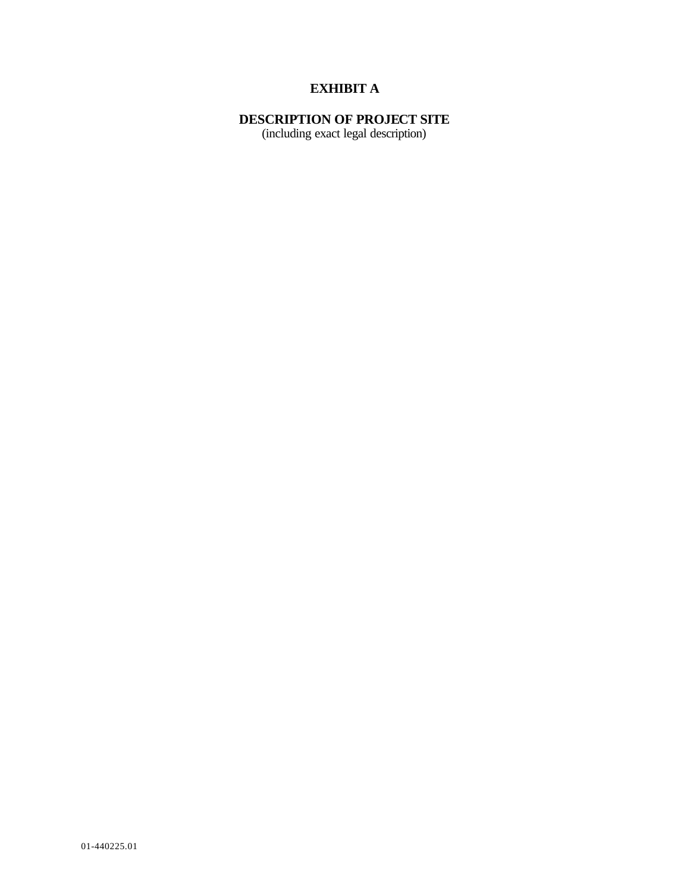## **EXHIBIT A**

## **DESCRIPTION OF PROJECT SITE**

(including exact legal description)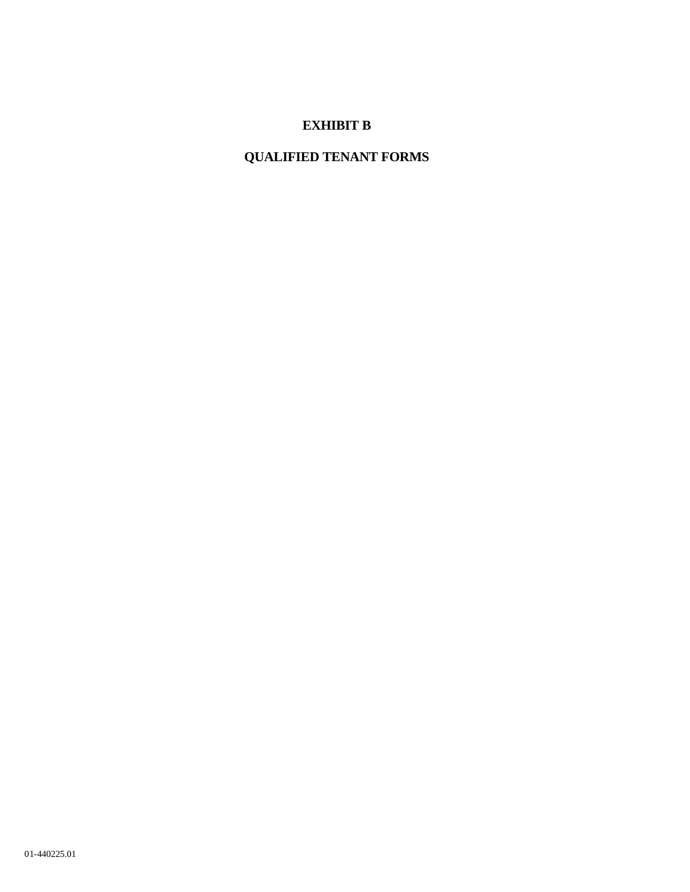# **EXHIBIT B**

# **QUALIFIED TENANT FORMS**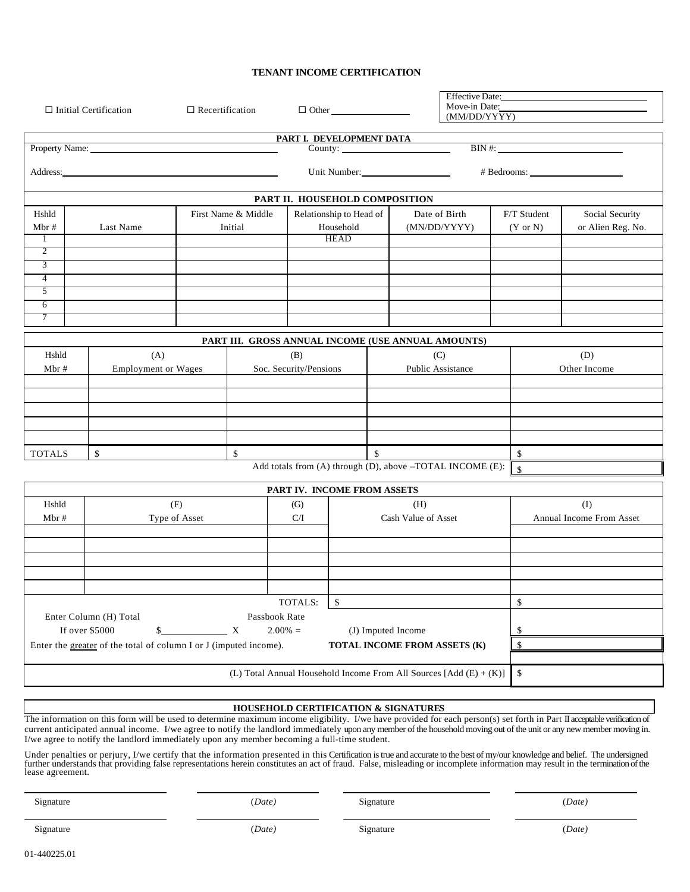### **TENANT INCOME CERTIFICATION**

| $\Box$ Recertification<br>$\Box$ Initial Certification                                                                                              |                                                                                                   |                                                                                                                                                                                                                                     | $\Box$ Other  |                                                    |                                | Effective Date:<br>Move-in Date:<br>(MM/DD/YYYY) |  |                     |                                                                      |                     |                            |
|-----------------------------------------------------------------------------------------------------------------------------------------------------|---------------------------------------------------------------------------------------------------|-------------------------------------------------------------------------------------------------------------------------------------------------------------------------------------------------------------------------------------|---------------|----------------------------------------------------|--------------------------------|--------------------------------------------------|--|---------------------|----------------------------------------------------------------------|---------------------|----------------------------|
|                                                                                                                                                     |                                                                                                   |                                                                                                                                                                                                                                     |               |                                                    | PART I. DEVELOPMENT DATA       |                                                  |  |                     |                                                                      |                     |                            |
|                                                                                                                                                     |                                                                                                   | Property Name: Name:                                                                                                                                                                                                                |               |                                                    |                                |                                                  |  |                     |                                                                      |                     | $\overline{\text{BIN}\#:}$ |
|                                                                                                                                                     |                                                                                                   | Address: <u>Address</u> and the contract of the contract of the contract of the contract of the contract of the contract of the contract of the contract of the contract of the contract of the contract of the contract of the con |               |                                                    |                                |                                                  |  |                     |                                                                      |                     | # Bedrooms:                |
|                                                                                                                                                     |                                                                                                   |                                                                                                                                                                                                                                     |               |                                                    | PART II. HOUSEHOLD COMPOSITION |                                                  |  |                     |                                                                      |                     |                            |
| Hshld                                                                                                                                               |                                                                                                   |                                                                                                                                                                                                                                     |               | First Name & Middle                                |                                | Relationship to Head of                          |  | Date of Birth       |                                                                      | F/T Student         | Social Security            |
| Mbr#                                                                                                                                                |                                                                                                   | Last Name                                                                                                                                                                                                                           |               | Initial                                            |                                | Household                                        |  | (MN/DD/YYYY)        |                                                                      | $(Y \text{ or } N)$ | or Alien Reg. No.          |
| 1                                                                                                                                                   |                                                                                                   |                                                                                                                                                                                                                                     |               |                                                    |                                | <b>HEAD</b>                                      |  |                     |                                                                      |                     |                            |
| 2                                                                                                                                                   |                                                                                                   |                                                                                                                                                                                                                                     |               |                                                    |                                |                                                  |  |                     |                                                                      |                     |                            |
| 3                                                                                                                                                   |                                                                                                   |                                                                                                                                                                                                                                     |               |                                                    |                                |                                                  |  |                     |                                                                      |                     |                            |
| 4                                                                                                                                                   |                                                                                                   |                                                                                                                                                                                                                                     |               |                                                    |                                |                                                  |  |                     |                                                                      |                     |                            |
| 5                                                                                                                                                   |                                                                                                   |                                                                                                                                                                                                                                     |               |                                                    |                                |                                                  |  |                     |                                                                      |                     |                            |
| 6                                                                                                                                                   |                                                                                                   |                                                                                                                                                                                                                                     |               |                                                    |                                |                                                  |  |                     |                                                                      |                     |                            |
| 7                                                                                                                                                   |                                                                                                   |                                                                                                                                                                                                                                     |               |                                                    |                                |                                                  |  |                     |                                                                      |                     |                            |
|                                                                                                                                                     |                                                                                                   |                                                                                                                                                                                                                                     |               | PART III. GROSS ANNUAL INCOME (USE ANNUAL AMOUNTS) |                                |                                                  |  |                     |                                                                      |                     |                            |
|                                                                                                                                                     |                                                                                                   |                                                                                                                                                                                                                                     |               |                                                    |                                |                                                  |  |                     |                                                                      |                     |                            |
| Hshld                                                                                                                                               |                                                                                                   | (A)                                                                                                                                                                                                                                 |               |                                                    | (B)                            |                                                  |  | (C)                 |                                                                      |                     | (D)                        |
|                                                                                                                                                     | Soc. Security/Pensions<br>Public Assistance<br>Mbr#<br><b>Employment or Wages</b><br>Other Income |                                                                                                                                                                                                                                     |               |                                                    |                                |                                                  |  |                     |                                                                      |                     |                            |
|                                                                                                                                                     |                                                                                                   |                                                                                                                                                                                                                                     |               |                                                    |                                |                                                  |  |                     |                                                                      |                     |                            |
|                                                                                                                                                     |                                                                                                   |                                                                                                                                                                                                                                     |               |                                                    |                                |                                                  |  |                     |                                                                      |                     |                            |
|                                                                                                                                                     |                                                                                                   |                                                                                                                                                                                                                                     |               |                                                    |                                |                                                  |  |                     |                                                                      |                     |                            |
|                                                                                                                                                     |                                                                                                   |                                                                                                                                                                                                                                     |               |                                                    |                                |                                                  |  |                     |                                                                      |                     |                            |
|                                                                                                                                                     |                                                                                                   |                                                                                                                                                                                                                                     |               |                                                    |                                |                                                  |  |                     |                                                                      |                     |                            |
| $\mathbb{S}$<br><b>TOTALS</b><br>\$                                                                                                                 |                                                                                                   |                                                                                                                                                                                                                                     |               |                                                    | $\mathbf S$                    |                                                  |  | \$                  |                                                                      |                     |                            |
| Add totals from (A) through (D), above -TOTAL INCOME (E):<br>$\mathsf{\$}$                                                                          |                                                                                                   |                                                                                                                                                                                                                                     |               |                                                    |                                |                                                  |  |                     |                                                                      |                     |                            |
|                                                                                                                                                     |                                                                                                   |                                                                                                                                                                                                                                     |               |                                                    | PART IV. INCOME FROM ASSETS    |                                                  |  |                     |                                                                      |                     |                            |
| Hshld                                                                                                                                               |                                                                                                   |                                                                                                                                                                                                                                     | (F)           |                                                    | (G)                            |                                                  |  | (H)                 |                                                                      |                     | (I)                        |
| Mbr#                                                                                                                                                |                                                                                                   |                                                                                                                                                                                                                                     | Type of Asset |                                                    | C/I                            |                                                  |  | Cash Value of Asset |                                                                      |                     | Annual Income From Asset   |
|                                                                                                                                                     |                                                                                                   |                                                                                                                                                                                                                                     |               |                                                    |                                |                                                  |  |                     |                                                                      |                     |                            |
|                                                                                                                                                     |                                                                                                   |                                                                                                                                                                                                                                     |               |                                                    |                                |                                                  |  |                     |                                                                      |                     |                            |
|                                                                                                                                                     |                                                                                                   |                                                                                                                                                                                                                                     |               |                                                    |                                |                                                  |  |                     |                                                                      |                     |                            |
|                                                                                                                                                     |                                                                                                   |                                                                                                                                                                                                                                     |               |                                                    |                                |                                                  |  |                     |                                                                      |                     |                            |
|                                                                                                                                                     |                                                                                                   |                                                                                                                                                                                                                                     |               |                                                    |                                |                                                  |  |                     |                                                                      |                     |                            |
|                                                                                                                                                     |                                                                                                   |                                                                                                                                                                                                                                     |               |                                                    | TOTALS:                        | \$                                               |  |                     |                                                                      | \$                  |                            |
|                                                                                                                                                     |                                                                                                   |                                                                                                                                                                                                                                     |               |                                                    |                                |                                                  |  |                     |                                                                      |                     |                            |
| Enter Column (H) Total<br>Passbook Rate<br>If over \$5000<br>$2.00\% =$                                                                             |                                                                                                   |                                                                                                                                                                                                                                     |               |                                                    |                                |                                                  |  |                     |                                                                      |                     |                            |
| (J) Imputed Income<br>\$<br>$\mathbf{X}$<br>\$<br>TOTAL INCOME FROM ASSETS (K)<br>Enter the greater of the total of column I or J (imputed income). |                                                                                                   |                                                                                                                                                                                                                                     |               |                                                    |                                |                                                  |  |                     |                                                                      |                     |                            |
|                                                                                                                                                     |                                                                                                   |                                                                                                                                                                                                                                     |               |                                                    |                                |                                                  |  |                     |                                                                      | \$                  |                            |
|                                                                                                                                                     |                                                                                                   |                                                                                                                                                                                                                                     |               |                                                    |                                |                                                  |  |                     |                                                                      |                     |                            |
|                                                                                                                                                     |                                                                                                   |                                                                                                                                                                                                                                     |               |                                                    |                                |                                                  |  |                     | (L) Total Annual Household Income From All Sources $[Add (E) + (K)]$ | \$                  |                            |
|                                                                                                                                                     |                                                                                                   |                                                                                                                                                                                                                                     |               |                                                    |                                |                                                  |  |                     |                                                                      |                     |                            |

### **HOUSEHOLD CERTIFICATION & SIGNATURES**

The information on this form will be used to determine maximum income eligibility. I/we have provided for each person(s) set forth in Part II acceptable verification of current anticipated annual income. I/we agree to notify the landlord immediately upon any member of the household moving out of the unit or any new member moving in. I/we agree to notify the landlord immediately upon any member becoming a full-time student.

Under penalties or perjury, I/we certify that the information presented in this Certification is true and accurate to the best of my/our knowledge and belief. The undersigned further understands that providing false representations herein constitutes an act of fraud. False, misleading or incomplete information may result in the termination of the lease agreement.

Signature (*Date)* Signature (*Date)*

Signature (*Date)* Signature (*Date)*

01-440225.01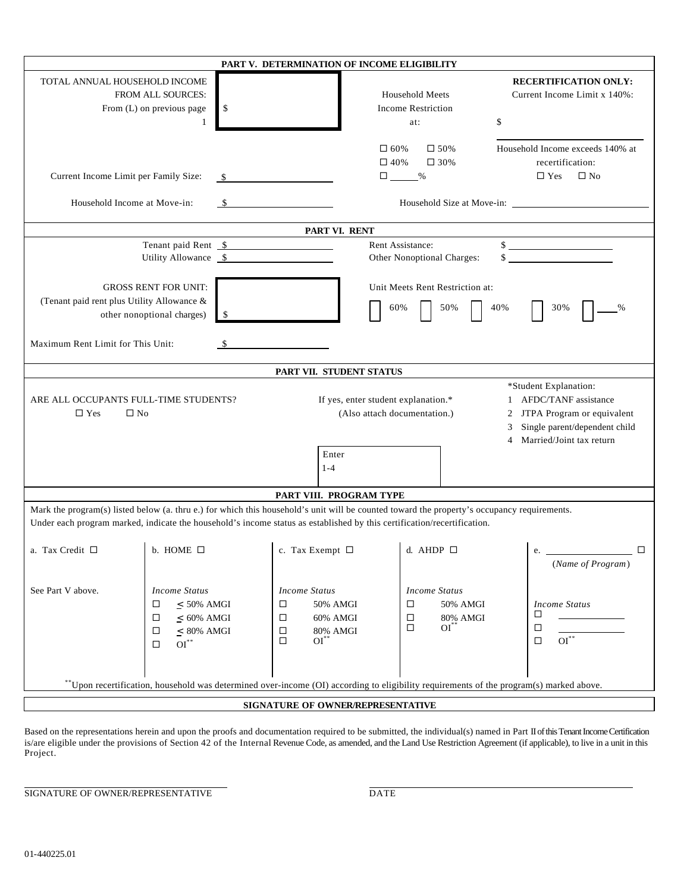|                                                                       |                                                                                                                                                                                                                                                                                                                          | PART V. DETERMINATION OF INCOME ELIGIBILITY                                                                             |                                                                                                                                             |                                                                                    |  |
|-----------------------------------------------------------------------|--------------------------------------------------------------------------------------------------------------------------------------------------------------------------------------------------------------------------------------------------------------------------------------------------------------------------|-------------------------------------------------------------------------------------------------------------------------|---------------------------------------------------------------------------------------------------------------------------------------------|------------------------------------------------------------------------------------|--|
| TOTAL ANNUAL HOUSEHOLD INCOME                                         | FROM ALL SOURCES:<br>\$<br>From (L) on previous page<br>1                                                                                                                                                                                                                                                                |                                                                                                                         | <b>Household Meets</b><br><b>Income Restriction</b><br>\$<br>at:                                                                            | <b>RECERTIFICATION ONLY:</b><br>Current Income Limit x 140%:                       |  |
| Current Income Limit per Family Size:<br>Household Income at Move-in: |                                                                                                                                                                                                                                                                                                                          | $\Box$ 60%                                                                                                              | $\Box$ 50%<br>$\Box$ 40%<br>$\Box$ 30%<br>$\Box \underline{\hspace{1cm}} \%$                                                                | Household Income exceeds 140% at<br>recertification:<br>$\Box$ Yes<br>$\square$ No |  |
|                                                                       |                                                                                                                                                                                                                                                                                                                          | PART VI. RENT                                                                                                           |                                                                                                                                             |                                                                                    |  |
|                                                                       | Tenant paid Rent \$<br>Utility Allowance \\$                                                                                                                                                                                                                                                                             |                                                                                                                         | Rent Assistance:<br>Other Nonoptional Charges:                                                                                              | $\frac{\text{S}}{\text{S}}$<br>$\frac{1}{2}$                                       |  |
|                                                                       | <b>GROSS RENT FOR UNIT:</b><br>Unit Meets Rent Restriction at:<br>(Tenant paid rent plus Utility Allowance &<br>50%<br>40%<br>30%<br>60%<br>other nonoptional charges)<br>-\$                                                                                                                                            |                                                                                                                         |                                                                                                                                             |                                                                                    |  |
| Maximum Rent Limit for This Unit:                                     |                                                                                                                                                                                                                                                                                                                          |                                                                                                                         |                                                                                                                                             |                                                                                    |  |
|                                                                       |                                                                                                                                                                                                                                                                                                                          | PART VII. STUDENT STATUS                                                                                                |                                                                                                                                             |                                                                                    |  |
| $\square$ Yes                                                         | *Student Explanation:<br>1 AFDC/TANF assistance<br>ARE ALL OCCUPANTS FULL-TIME STUDENTS?<br>If yes, enter student explanation.*<br>(Also attach documentation.)<br>JTPA Program or equivalent<br>$\square$ No<br>2<br>Single parent/dependent child<br>3<br>Married/Joint tax return<br>$\overline{4}$<br>Enter<br>$1-4$ |                                                                                                                         |                                                                                                                                             |                                                                                    |  |
|                                                                       |                                                                                                                                                                                                                                                                                                                          | PART VIII. PROGRAM TYPE                                                                                                 |                                                                                                                                             |                                                                                    |  |
|                                                                       |                                                                                                                                                                                                                                                                                                                          | Under each program marked, indicate the household's income status as established by this certification/recertification. | Mark the program(s) listed below (a. thru e.) for which this household's unit will be counted toward the property's occupancy requirements. |                                                                                    |  |
| a. Tax Credit □                                                       | b. HOME $\Box$                                                                                                                                                                                                                                                                                                           | c. Tax Exempt $\ \Box$                                                                                                  | d. AHDP $\Box$                                                                                                                              | e.<br>$\Box$<br>(Name of Program)                                                  |  |
| See Part V above.                                                     | <b>Income Status</b><br>$< 50\%$ AMGI<br>□<br>$\leq$ 60% AMGI<br>□<br>$< 80\%$ AMGI<br>□<br>$OI^*$<br>□                                                                                                                                                                                                                  | <b>Income Status</b><br>50% AMGI<br>□<br>60% AMGI<br>□<br>80% AMGI<br>□<br>$OI^{\ast\ast}$<br>□                         | <b>Income Status</b><br>50% AMGI<br>□<br>$\Box$<br>80% AMGI<br>$OI^{\ast\ast}$<br>□                                                         | <b>Income Status</b><br>□<br>□<br>$\mathrm{OI}^{**}$<br>$\Box$                     |  |
|                                                                       |                                                                                                                                                                                                                                                                                                                          |                                                                                                                         | **Upon recertification, household was determined over-income (OI) according to eligibility requirements of the program(s) marked above.     |                                                                                    |  |
|                                                                       |                                                                                                                                                                                                                                                                                                                          | SIGNATURE OF OWNER/REPRESENTATIVE                                                                                       |                                                                                                                                             |                                                                                    |  |

Based on the representations herein and upon the proofs and documentation required to be submitted, the individual(s) named in Part II of this Tenant Income Certification is/are eligible under the provisions of Section 42 of the Internal Revenue Code, as amended, and the Land Use Restriction Agreement (if applicable), to live in a unit in this Project.

SIGNATURE OF OWNER/REPRESENTATIVE DATE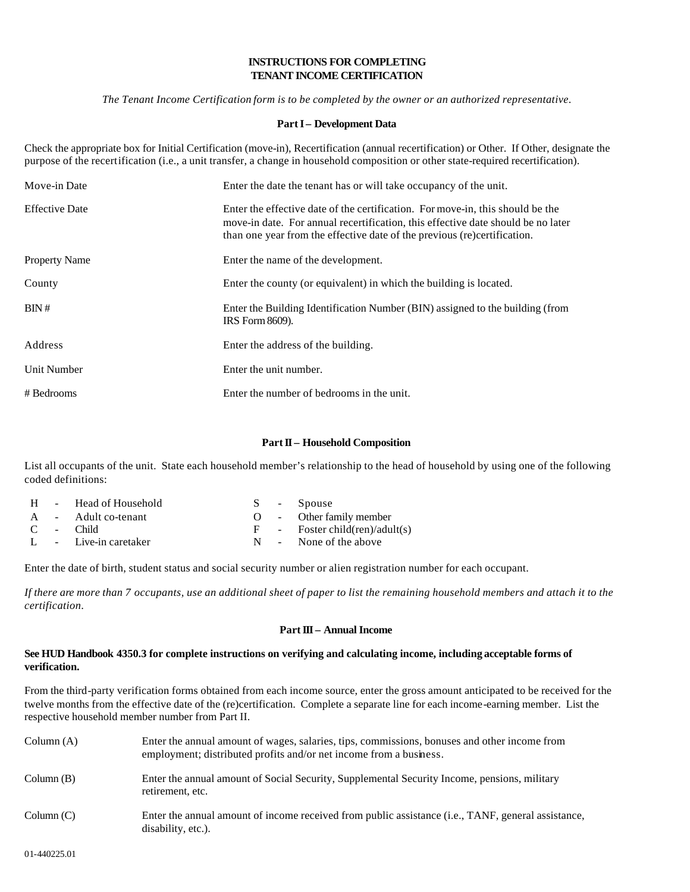### **INSTRUCTIONS FOR COMPLETING TENANT INCOME CERTIFICATION**

*The Tenant Income Certification form is to be completed by the owner or an authorized representative*.

#### **PartI – Development Data**

Check the appropriate box for Initial Certification (move-in), Recertification (annual recertification) or Other. If Other, designate the purpose of the recertification (i.e., a unit transfer, a change in household composition or other state-required recertification).

| Move-in Date          | Enter the date the tenant has or will take occupancy of the unit.                                                                                                                                                                              |
|-----------------------|------------------------------------------------------------------------------------------------------------------------------------------------------------------------------------------------------------------------------------------------|
| <b>Effective Date</b> | Enter the effective date of the certification. For move-in, this should be the<br>move-in date. For annual recertification, this effective date should be no later<br>than one year from the effective date of the previous (re)certification. |
| <b>Property Name</b>  | Enter the name of the development.                                                                                                                                                                                                             |
| County                | Enter the county (or equivalent) in which the building is located.                                                                                                                                                                             |
| BIN#                  | Enter the Building Identification Number (BIN) assigned to the building (from<br>IRS Form 8609).                                                                                                                                               |
| Address               | Enter the address of the building.                                                                                                                                                                                                             |
| Unit Number           | Enter the unit number.                                                                                                                                                                                                                         |
| # Bedrooms            | Enter the number of bedrooms in the unit.                                                                                                                                                                                                      |

#### Part II – Household Composition

List all occupants of the unit. State each household member's relationship to the head of household by using one of the following coded definitions:

|  | H - Head of Household |  | S - Spouse                       |
|--|-----------------------|--|----------------------------------|
|  | A - Adult co-tenant   |  | O - Other family member          |
|  | $C -$ Child           |  | $F -$ Foster child(ren)/adult(s) |
|  | L - Live-in caretaker |  | $N =$ None of the above          |

Enter the date of birth, student status and social security number or alien registration number for each occupant.

*If there are more than 7 occupants, use an additional sheet of paper to list the remaining household members and attach it to the certification*.

#### **Part III – Annual Income**

#### **See HUD Handbook 4350.3 for complete instructions on verifying and calculating income, including acceptable forms of verification.**

From the third-party verification forms obtained from each income source, enter the gross amount anticipated to be received for the twelve months from the effective date of the (re)certification. Complete a separate line for each income-earning member. List the respective household member number from Part II.

| Column $(A)$ | Enter the annual amount of wages, salaries, tips, commissions, bonuses and other income from<br>employment; distributed profits and/or net income from a business. |
|--------------|--------------------------------------------------------------------------------------------------------------------------------------------------------------------|
| Column(B)    | Enter the annual amount of Social Security, Supplemental Security Income, pensions, military<br>retirement, etc.                                                   |
| Column(C)    | Enter the annual amount of income received from public assistance ( <i>i.e.</i> , TANF, general assistance,<br>disability, etc.).                                  |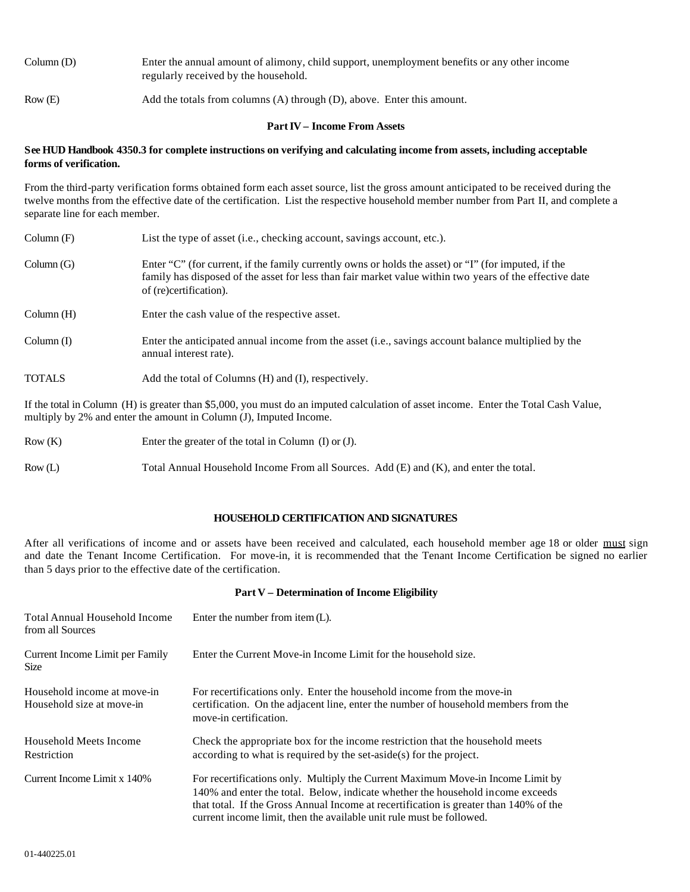| Column(D) | Enter the annual amount of alimony, child support, unemployment benefits or any other income<br>regularly received by the household. |
|-----------|--------------------------------------------------------------------------------------------------------------------------------------|
| Row(E)    | Add the totals from columns (A) through (D), above. Enter this amount.                                                               |

#### **PartIV – Income From Assets**

#### **See HUD Handbook 4350.3 for complete instructions on verifying and calculating income from assets, including acceptable forms of verification.**

From the third-party verification forms obtained form each asset source, list the gross amount anticipated to be received during the twelve months from the effective date of the certification. List the respective household member number from Part II, and complete a separate line for each member.

| Column(F)     | List the type of asset (i.e., checking account, savings account, etc.).                                                                                                                                                                   |
|---------------|-------------------------------------------------------------------------------------------------------------------------------------------------------------------------------------------------------------------------------------------|
| Column(G)     | Enter "C" (for current, if the family currently owns or holds the asset) or "I" (for imputed, if the<br>family has disposed of the asset for less than fair market value within two years of the effective date<br>of (re)certification). |
| Column(H)     | Enter the cash value of the respective asset.                                                                                                                                                                                             |
| Column(I)     | Enter the anticipated annual income from the asset (i.e., savings account balance multiplied by the<br>annual interest rate).                                                                                                             |
| <b>TOTALS</b> | Add the total of Columns (H) and (I), respectively.                                                                                                                                                                                       |

If the total in Column (H) is greater than \$5,000, you must do an imputed calculation of asset income. Enter the Total Cash Value, multiply by 2% and enter the amount in Column (J), Imputed Income.

| Row(K) | Enter the greater of the total in Column $(I)$ or $(J)$ .                             |  |
|--------|---------------------------------------------------------------------------------------|--|
| Row(L) | Total Annual Household Income From all Sources. Add (E) and (K), and enter the total. |  |

### **HOUSEHOLD CERTIFICATION AND SIGNATURES**

After all verifications of income and or assets have been received and calculated, each household member age 18 or older must sign and date the Tenant Income Certification. For move-in, it is recommended that the Tenant Income Certification be signed no earlier than 5 days prior to the effective date of the certification.

#### **Part V – Determination of Income Eligibility**

| <b>Total Annual Household Income</b><br>from all Sources | Enter the number from item $(L)$ .                                                                                                                                                                                                                                                                                                 |
|----------------------------------------------------------|------------------------------------------------------------------------------------------------------------------------------------------------------------------------------------------------------------------------------------------------------------------------------------------------------------------------------------|
| Current Income Limit per Family<br><b>Size</b>           | Enter the Current Move-in Income Limit for the household size.                                                                                                                                                                                                                                                                     |
| Household income at move-in<br>Household size at move-in | For recertifications only. Enter the household income from the move-in<br>certification. On the adjacent line, enter the number of household members from the<br>move-in certification.                                                                                                                                            |
| Household Meets Income<br>Restriction                    | Check the appropriate box for the income restriction that the household meets<br>$according to what is required by the set- aside(s) for the project.$                                                                                                                                                                             |
| Current Income Limit x 140%                              | For recertifications only. Multiply the Current Maximum Move-in Income Limit by<br>140% and enter the total. Below, indicate whether the household income exceeds<br>that total. If the Gross Annual Income at recertification is greater than 140% of the<br>current income limit, then the available unit rule must be followed. |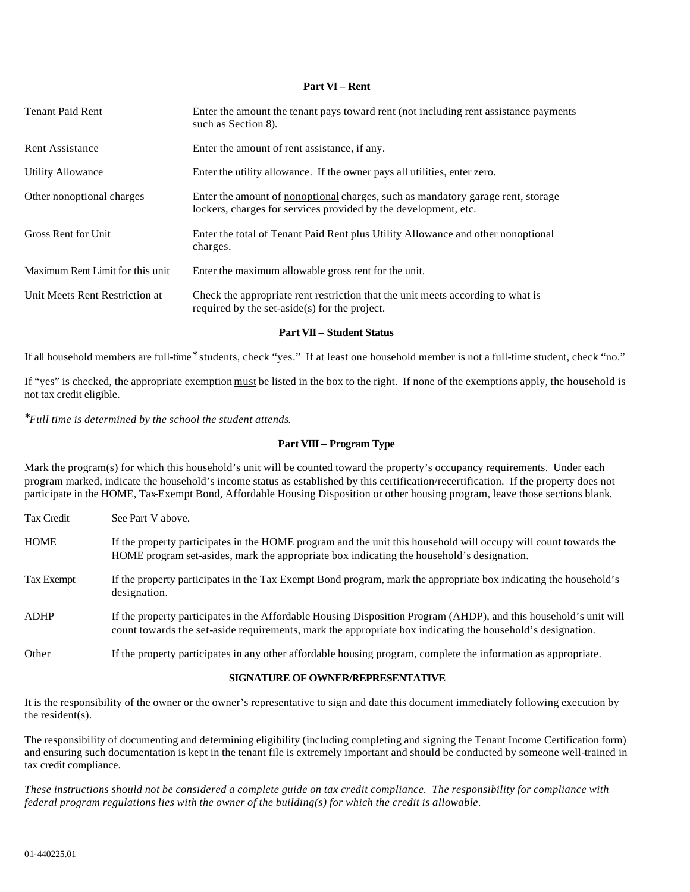#### **Part VI – Rent**

| <b>Tenant Paid Rent</b>          | Enter the amount the tenant pays toward rent (not including rent assistance payments<br>such as Section 8).                                               |
|----------------------------------|-----------------------------------------------------------------------------------------------------------------------------------------------------------|
| <b>Rent Assistance</b>           | Enter the amount of rent assistance, if any.                                                                                                              |
| <b>Utility Allowance</b>         | Enter the utility allowance. If the owner pays all utilities, enter zero.                                                                                 |
| Other nonoptional charges        | Enter the amount of <u>nonoptional</u> charges, such as mandatory garage rent, storage<br>lockers, charges for services provided by the development, etc. |
| Gross Rent for Unit              | Enter the total of Tenant Paid Rent plus Utility Allowance and other nonoptional<br>charges.                                                              |
| Maximum Rent Limit for this unit | Enter the maximum allowable gross rent for the unit.                                                                                                      |
| Unit Meets Rent Restriction at   | Check the appropriate rent restriction that the unit meets according to what is<br>required by the set-aside(s) for the project.                          |
|                                  | <b>Part VII – Student Status</b>                                                                                                                          |

If all household members are full-time<sup>∗</sup> students, check "yes." If at least one household member is not a full-time student, check "no."

If "yes" is checked, the appropriate exemption must be listed in the box to the right. If none of the exemptions apply, the household is not tax credit eligible.

∗ *Full time is determined by the school the student attends*.

#### **Part VIII – Program Type**

Mark the program(s) for which this household's unit will be counted toward the property's occupancy requirements. Under each program marked, indicate the household's income status as established by this certification/recertification. If the property does not participate in the HOME, Tax-Exempt Bond, Affordable Housing Disposition or other housing program, leave those sections blank.

| Tax Credit  | See Part V above.                                                                                                                                                                                                               |
|-------------|---------------------------------------------------------------------------------------------------------------------------------------------------------------------------------------------------------------------------------|
| <b>HOME</b> | If the property participates in the HOME program and the unit this household will occupy will count towards the<br>HOME program set-asides, mark the appropriate box indicating the household's designation.                    |
| Tax Exempt  | If the property participates in the Tax Exempt Bond program, mark the appropriate box indicating the household's<br>designation.                                                                                                |
| <b>ADHP</b> | If the property participates in the Affordable Housing Disposition Program (AHDP), and this household's unit will<br>count towards the set-aside requirements, mark the appropriate box indicating the household's designation. |
| Other       | If the property participates in any other affordable housing program, complete the information as appropriate.                                                                                                                  |

#### **SIGNATURE OF OWNER/REPRESENTATIVE**

It is the responsibility of the owner or the owner's representative to sign and date this document immediately following execution by the resident(s).

The responsibility of documenting and determining eligibility (including completing and signing the Tenant Income Certification form) and ensuring such documentation is kept in the tenant file is extremely important and should be conducted by someone well-trained in tax credit compliance.

*These instructions should not be considered a complete guide on tax credit compliance. The responsibility for compliance with federal program regulations lies with the owner of the building(s) for which the credit is allowable*.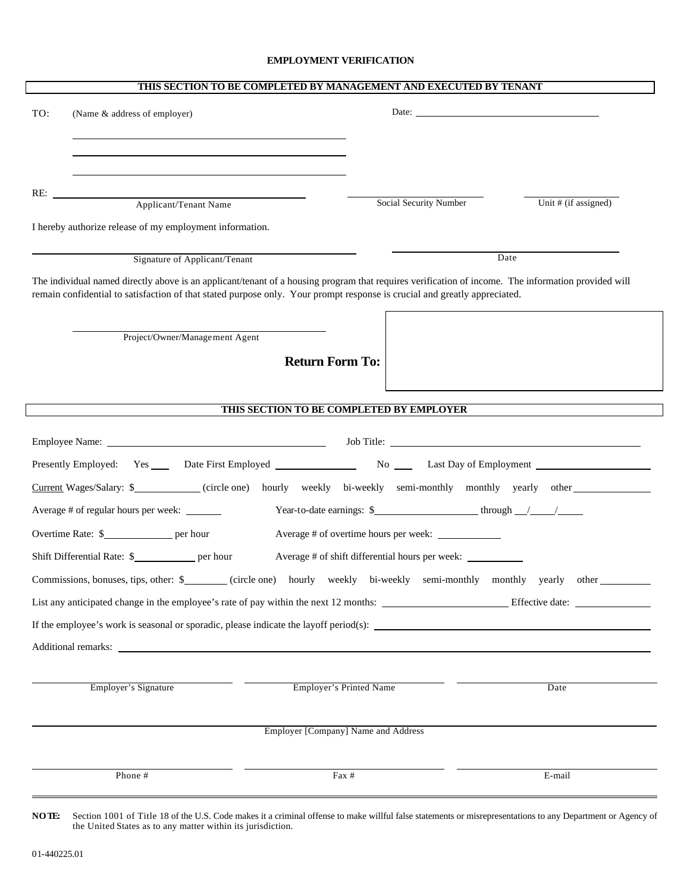#### **EMPLOYMENT VERIFICATION**

| THIS SECTION TO BE COMPLETED BY MANAGEMENT AND EXECUTED BY TENANT |                                                                                                                                                                                                                                                                                  |                                                                                                                                                                                                                                      |                      |  |
|-------------------------------------------------------------------|----------------------------------------------------------------------------------------------------------------------------------------------------------------------------------------------------------------------------------------------------------------------------------|--------------------------------------------------------------------------------------------------------------------------------------------------------------------------------------------------------------------------------------|----------------------|--|
| TO:                                                               | (Name & address of employer)                                                                                                                                                                                                                                                     | Date: <u>New York: New York: New York: New York: New York: New York: New York: New York: New York: New York: New York: New York: New York: New York: New York: New York: New York: New York: New York: New York: New York: New Y</u> |                      |  |
|                                                                   |                                                                                                                                                                                                                                                                                  |                                                                                                                                                                                                                                      |                      |  |
|                                                                   |                                                                                                                                                                                                                                                                                  |                                                                                                                                                                                                                                      |                      |  |
|                                                                   | RE: <u>Applicant/Tenant Name</u>                                                                                                                                                                                                                                                 |                                                                                                                                                                                                                                      |                      |  |
|                                                                   |                                                                                                                                                                                                                                                                                  | Social Security Number                                                                                                                                                                                                               | Unit # (if assigned) |  |
|                                                                   | I hereby authorize release of my employment information.                                                                                                                                                                                                                         |                                                                                                                                                                                                                                      |                      |  |
|                                                                   | Signature of Applicant/Tenant                                                                                                                                                                                                                                                    |                                                                                                                                                                                                                                      | Date                 |  |
|                                                                   | The individual named directly above is an applicant/tenant of a housing program that requires verification of income. The information provided will<br>remain confidential to satisfaction of that stated purpose only. Your prompt response is crucial and greatly appreciated. |                                                                                                                                                                                                                                      |                      |  |
|                                                                   | Project/Owner/Management Agent                                                                                                                                                                                                                                                   |                                                                                                                                                                                                                                      |                      |  |
|                                                                   | <b>Return Form To:</b>                                                                                                                                                                                                                                                           |                                                                                                                                                                                                                                      |                      |  |
|                                                                   |                                                                                                                                                                                                                                                                                  |                                                                                                                                                                                                                                      |                      |  |
|                                                                   |                                                                                                                                                                                                                                                                                  | THIS SECTION TO BE COMPLETED BY EMPLOYER                                                                                                                                                                                             |                      |  |
|                                                                   |                                                                                                                                                                                                                                                                                  |                                                                                                                                                                                                                                      |                      |  |
|                                                                   |                                                                                                                                                                                                                                                                                  |                                                                                                                                                                                                                                      |                      |  |
|                                                                   | Current Wages/Salary: \$____________(circle one) hourly weekly bi-weekly semi-monthly monthly yearly other                                                                                                                                                                       |                                                                                                                                                                                                                                      |                      |  |
|                                                                   | Average # of regular hours per week: ______                                                                                                                                                                                                                                      |                                                                                                                                                                                                                                      |                      |  |
|                                                                   |                                                                                                                                                                                                                                                                                  |                                                                                                                                                                                                                                      |                      |  |
|                                                                   |                                                                                                                                                                                                                                                                                  |                                                                                                                                                                                                                                      |                      |  |
|                                                                   | Commissions, bonuses, tips, other: \$________(circle one) hourly weekly bi-weekly semi-monthly monthly yearly other                                                                                                                                                              |                                                                                                                                                                                                                                      |                      |  |
|                                                                   |                                                                                                                                                                                                                                                                                  |                                                                                                                                                                                                                                      |                      |  |
|                                                                   | If the employee's work is seasonal or sporadic, please indicate the layoff period(s):                                                                                                                                                                                            |                                                                                                                                                                                                                                      |                      |  |
|                                                                   | Additional remarks: Note that the state of the state of the state of the state of the state of the state of the state of the state of the state of the state of the state of the state of the state of the state of the state                                                    |                                                                                                                                                                                                                                      |                      |  |
|                                                                   |                                                                                                                                                                                                                                                                                  |                                                                                                                                                                                                                                      |                      |  |
|                                                                   | Employer's Signature                                                                                                                                                                                                                                                             | Employer's Printed Name                                                                                                                                                                                                              | Date                 |  |
|                                                                   |                                                                                                                                                                                                                                                                                  |                                                                                                                                                                                                                                      |                      |  |
|                                                                   |                                                                                                                                                                                                                                                                                  | Employer [Company] Name and Address                                                                                                                                                                                                  |                      |  |
|                                                                   | Phone #                                                                                                                                                                                                                                                                          | Fax #                                                                                                                                                                                                                                | E-mail               |  |
|                                                                   |                                                                                                                                                                                                                                                                                  |                                                                                                                                                                                                                                      |                      |  |

**NOTE:** Section 1001 of Title 18 of the U.S. Code makes it a criminal offense to make willful false statements or misrepresentations to any Department or Agency of the United States as to any matter within its jurisdiction.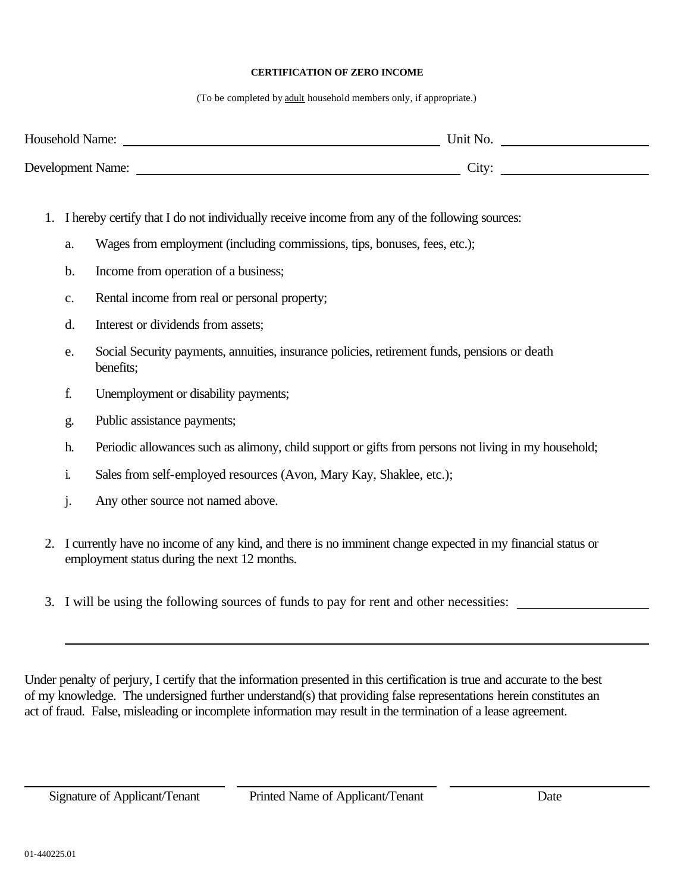### **CERTIFICATION OF ZERO INCOME**

(To be completed by adult household members only, if appropriate.)

| <b>Household Name:</b>   | Unit No.          |  |
|--------------------------|-------------------|--|
| <b>Development Name:</b> | City <sup>.</sup> |  |

- 1. I hereby certify that I do not individually receive income from any of the following sources:
	- a. Wages from employment (including commissions, tips, bonuses, fees, etc.);
	- b. Income from operation of a business;
	- c. Rental income from real or personal property;
	- d. Interest or dividends from assets;
	- e. Social Security payments, annuities, insurance policies, retirement funds, pensions or death benefits;
	- f. Unemployment or disability payments;
	- g. Public assistance payments;
	- h. Periodic allowances such as alimony, child support or gifts from persons not living in my household;
	- i. Sales from self-employed resources (Avon, Mary Kay, Shaklee, etc.);
	- j. Any other source not named above.
- 2. I currently have no income of any kind, and there is no imminent change expected in my financial status or employment status during the next 12 months.
- 3. I will be using the following sources of funds to pay for rent and other necessities:

Under penalty of perjury, I certify that the information presented in this certification is true and accurate to the best of my knowledge. The undersigned further understand(s) that providing false representations herein constitutes an act of fraud. False, misleading or incomplete information may result in the termination of a lease agreement.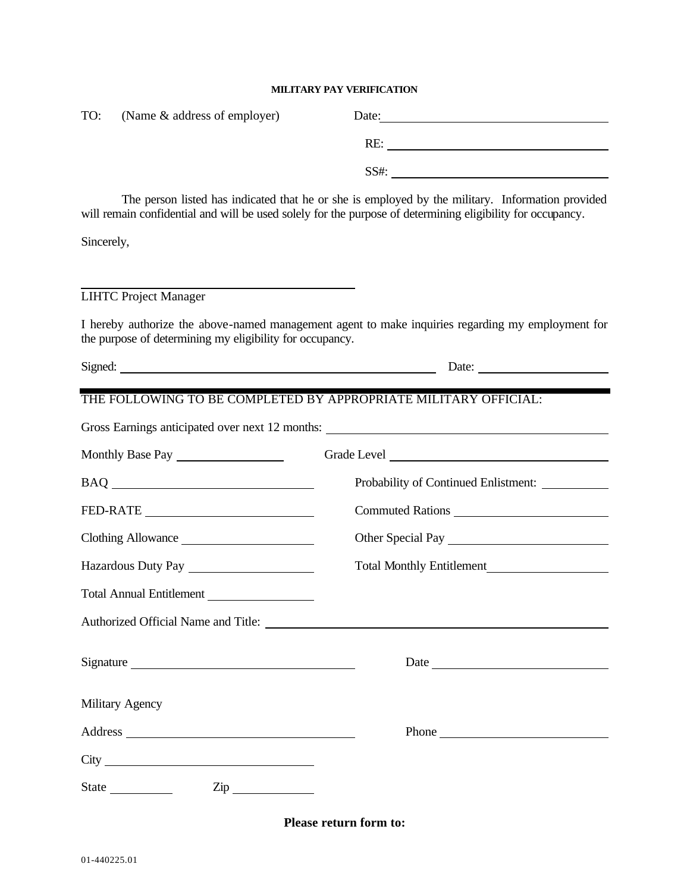### **MILITARY PAY VERIFICATION**

| TO:                | (Name & address of employer)                             |                                                                                                                                                                                                                                      |
|--------------------|----------------------------------------------------------|--------------------------------------------------------------------------------------------------------------------------------------------------------------------------------------------------------------------------------------|
|                    |                                                          |                                                                                                                                                                                                                                      |
|                    |                                                          | SS#:                                                                                                                                                                                                                                 |
|                    |                                                          | The person listed has indicated that he or she is employed by the military. Information provided<br>will remain confidential and will be used solely for the purpose of determining eligibility for occupancy.                       |
| Sincerely,         |                                                          |                                                                                                                                                                                                                                      |
|                    |                                                          |                                                                                                                                                                                                                                      |
|                    | <b>LIHTC Project Manager</b>                             |                                                                                                                                                                                                                                      |
|                    | the purpose of determining my eligibility for occupancy. | I hereby authorize the above-named management agent to make inquiries regarding my employment for                                                                                                                                    |
|                    |                                                          | Date:                                                                                                                                                                                                                                |
|                    |                                                          | THE FOLLOWING TO BE COMPLETED BY APPROPRIATE MILITARY OFFICIAL:                                                                                                                                                                      |
|                    |                                                          |                                                                                                                                                                                                                                      |
|                    |                                                          |                                                                                                                                                                                                                                      |
|                    |                                                          | Probability of Continued Enlistment: __________                                                                                                                                                                                      |
|                    |                                                          | Commuted Rations                                                                                                                                                                                                                     |
| Clothing Allowance |                                                          | Other Special Pay                                                                                                                                                                                                                    |
|                    | Hazardous Duty Pay                                       |                                                                                                                                                                                                                                      |
|                    | <b>Total Annual Entitlement</b>                          |                                                                                                                                                                                                                                      |
|                    |                                                          | Authorized Official Name and Title:                                                                                                                                                                                                  |
|                    | Signature                                                |                                                                                                                                                                                                                                      |
|                    | Military Agency                                          |                                                                                                                                                                                                                                      |
|                    |                                                          | Phone <b>Contract Contract Contract Contract Contract Contract Contract Contract Contract Contract Contract Contract Contract Contract Contract Contract Contract Contract Contract Contract Contract Contract Contract Contract</b> |
|                    |                                                          |                                                                                                                                                                                                                                      |
|                    | State <u>Contract Zip</u>                                |                                                                                                                                                                                                                                      |
|                    |                                                          | Please return form to:                                                                                                                                                                                                               |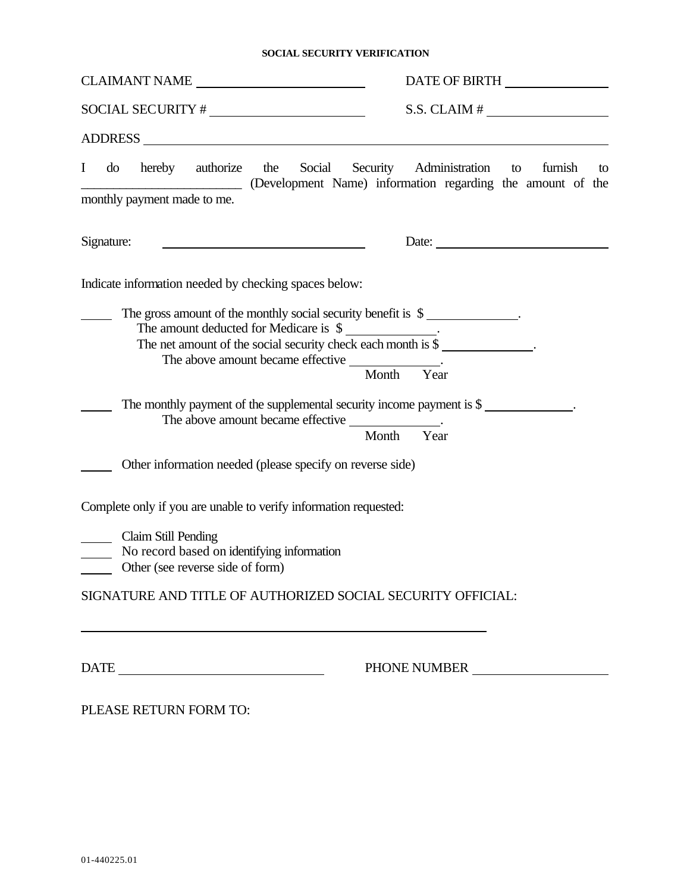## **SOCIAL SECURITY VERIFICATION**

| CLAIMANT NAME                                                                                                                                                                                                                                                                                                                                        | DATE OF BIRTH ________________                                                                                                                                                                                                                                                                                                                                                                                |  |  |
|------------------------------------------------------------------------------------------------------------------------------------------------------------------------------------------------------------------------------------------------------------------------------------------------------------------------------------------------------|---------------------------------------------------------------------------------------------------------------------------------------------------------------------------------------------------------------------------------------------------------------------------------------------------------------------------------------------------------------------------------------------------------------|--|--|
|                                                                                                                                                                                                                                                                                                                                                      | $S.S. CLAIM # \_$                                                                                                                                                                                                                                                                                                                                                                                             |  |  |
|                                                                                                                                                                                                                                                                                                                                                      |                                                                                                                                                                                                                                                                                                                                                                                                               |  |  |
| do hereby authorize the Social Security Administration to<br>$\bf{I}$<br>monthly payment made to me.                                                                                                                                                                                                                                                 | furnish<br>to<br>(Development Name) information regarding the amount of the                                                                                                                                                                                                                                                                                                                                   |  |  |
| Signature:                                                                                                                                                                                                                                                                                                                                           | Date: $\frac{1}{\sqrt{1-\frac{1}{2}}\sqrt{1-\frac{1}{2}}\sqrt{1-\frac{1}{2}}\sqrt{1-\frac{1}{2}}\sqrt{1-\frac{1}{2}}\sqrt{1-\frac{1}{2}}\sqrt{1-\frac{1}{2}}\sqrt{1-\frac{1}{2}}\sqrt{1-\frac{1}{2}}\sqrt{1-\frac{1}{2}}\sqrt{1-\frac{1}{2}}\sqrt{1-\frac{1}{2}}\sqrt{1-\frac{1}{2}}\sqrt{1-\frac{1}{2}}\sqrt{1-\frac{1}{2}}\sqrt{1-\frac{1}{2}}\sqrt{1-\frac{1}{2}}\sqrt{1-\frac{1}{2}}\sqrt{1-\frac{1}{2}}$ |  |  |
| Indicate information needed by checking spaces below:                                                                                                                                                                                                                                                                                                |                                                                                                                                                                                                                                                                                                                                                                                                               |  |  |
| The gross amount of the monthly social security benefit is $\quad \overline{\hspace{1.5cm}}$ .<br>The amount deducted for Medicare is \$<br>The net amount of the social security check each month is \$<br>The above amount became effective _______________.<br>The monthly payment of the supplemental security income payment is $\frac{1}{2}$ . | Month Year<br>Month Year                                                                                                                                                                                                                                                                                                                                                                                      |  |  |
| Other information needed (please specify on reverse side)                                                                                                                                                                                                                                                                                            |                                                                                                                                                                                                                                                                                                                                                                                                               |  |  |
| Complete only if you are unable to verify information requested:<br>Claim Still Pending<br>No record based on identifying information<br>Other (see reverse side of form)<br>SIGNATURE AND TITLE OF AUTHORIZED SOCIAL SECURITY OFFICIAL:                                                                                                             |                                                                                                                                                                                                                                                                                                                                                                                                               |  |  |
| $\begin{tabular}{c} DATE \end{tabular}$                                                                                                                                                                                                                                                                                                              | PHONE NUMBER                                                                                                                                                                                                                                                                                                                                                                                                  |  |  |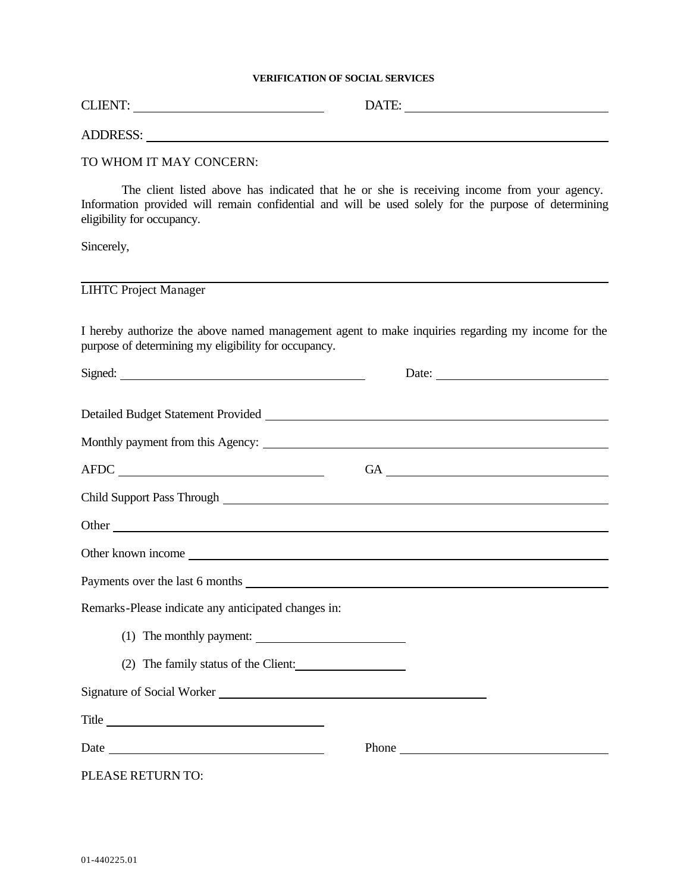## **VERIFICATION OF SOCIAL SERVICES**

|                                                      | ADDRESS: University of the state of the state of the state of the state of the state of the state of the state of the state of the state of the state of the state of the state of the state of the state of the state of the |  |
|------------------------------------------------------|-------------------------------------------------------------------------------------------------------------------------------------------------------------------------------------------------------------------------------|--|
| TO WHOM IT MAY CONCERN:                              |                                                                                                                                                                                                                               |  |
| eligibility for occupancy.                           | The client listed above has indicated that he or she is receiving income from your agency.<br>Information provided will remain confidential and will be used solely for the purpose of determining                            |  |
| Sincerely,                                           |                                                                                                                                                                                                                               |  |
| <b>LIHTC Project Manager</b>                         |                                                                                                                                                                                                                               |  |
| purpose of determining my eligibility for occupancy. | I hereby authorize the above named management agent to make inquiries regarding my income for the                                                                                                                             |  |
| Signed:                                              | Date:                                                                                                                                                                                                                         |  |
|                                                      | Detailed Budget Statement Provided<br><u>Detailed Budget Statement Provided</u>                                                                                                                                               |  |
| $\begin{tabular}{c} AFDC \end{tabular}$              | $GA$ $\overline{\phantom{a}}$                                                                                                                                                                                                 |  |
|                                                      |                                                                                                                                                                                                                               |  |
|                                                      |                                                                                                                                                                                                                               |  |
|                                                      | Other known income                                                                                                                                                                                                            |  |
|                                                      | Payments over the last 6 months <b>SECULP</b> 2022 <b>CONVERGENT</b>                                                                                                                                                          |  |
| Remarks-Please indicate any anticipated changes in:  |                                                                                                                                                                                                                               |  |
|                                                      |                                                                                                                                                                                                                               |  |
|                                                      | (2) The family status of the Client:                                                                                                                                                                                          |  |
|                                                      | Signature of Social Worker Management and Social Worker                                                                                                                                                                       |  |
|                                                      |                                                                                                                                                                                                                               |  |
|                                                      | Phone                                                                                                                                                                                                                         |  |
| PLEASE RETURN TO:                                    |                                                                                                                                                                                                                               |  |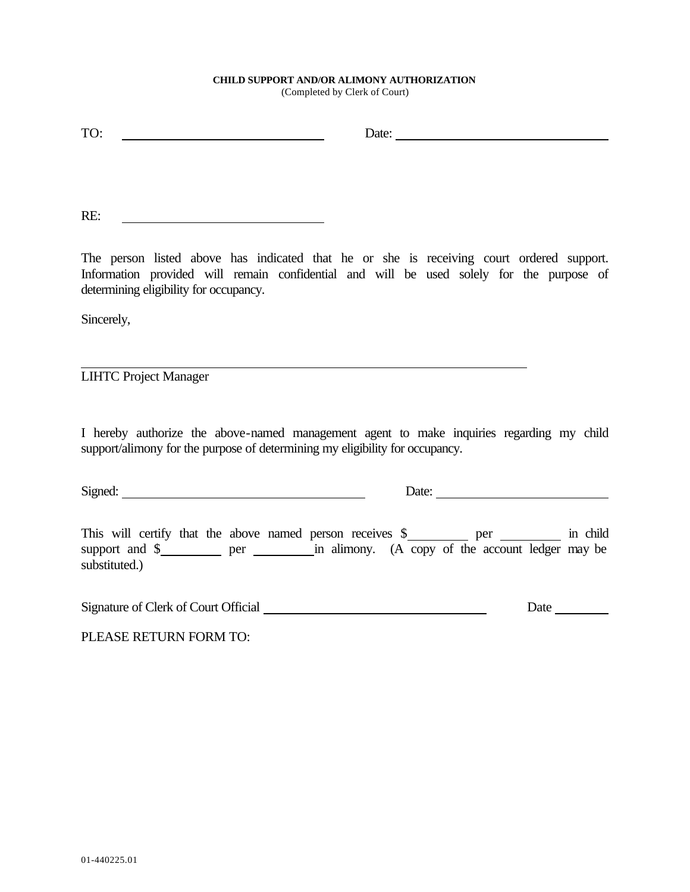### **CHILD SUPPORT AND/OR ALIMONY AUTHORIZATION**

(Completed by Clerk of Court)

| TO:                                                                                      | Date: |
|------------------------------------------------------------------------------------------|-------|
|                                                                                          |       |
|                                                                                          |       |
|                                                                                          |       |
| RE:                                                                                      |       |
|                                                                                          |       |
| The person listed above has indicated that he or she is receiving court ordered support. |       |
| Information provided will remain confidential and will be used solely for the purpose of |       |
| determining eligibility for occupancy.                                                   |       |

Sincerely,

LIHTC Project Manager

I hereby authorize the above-named management agent to make inquiries regarding my child support/alimony for the purpose of determining my eligibility for occupancy.

<u> 1989 - Johann Barn, amerikansk politiker (d. 1989)</u>

Signed: Date: Date: Date: Date:

| This will certify that the above named person receives $\$ |     |  | per | in child                                         |
|------------------------------------------------------------|-----|--|-----|--------------------------------------------------|
| support and \$                                             | per |  |     | in alimony. (A copy of the account ledger may be |
| substituted.)                                              |     |  |     |                                                  |

| Signature of Clerk of Court Official | Jate |
|--------------------------------------|------|
|                                      |      |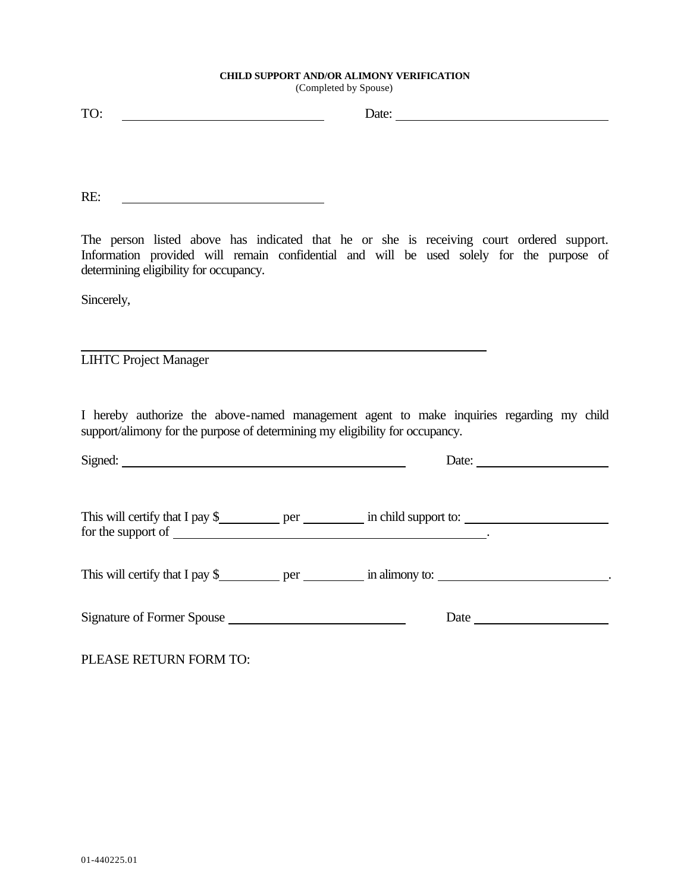## **CHILD SUPPORT AND/OR ALIMONY VERIFICATION**

(Completed by Spouse)

RE: <u> 1990 - John Stone, marian amerikan personal (</u>

The person listed above has indicated that he or she is receiving court ordered support. Information provided will remain confidential and will be used solely for the purpose of determining eligibility for occupancy.

Sincerely,

LIHTC Project Manager

I hereby authorize the above-named management agent to make inquiries regarding my child support/alimony for the purpose of determining my eligibility for occupancy.

<u> 1980 - Johann Barbara, martxa alemaniar a</u>

|                    | Date: $\qquad \qquad$           |
|--------------------|---------------------------------|
| for the support of | This will certify that I pay \$ |
|                    | This will certify that I pay \$ |
|                    |                                 |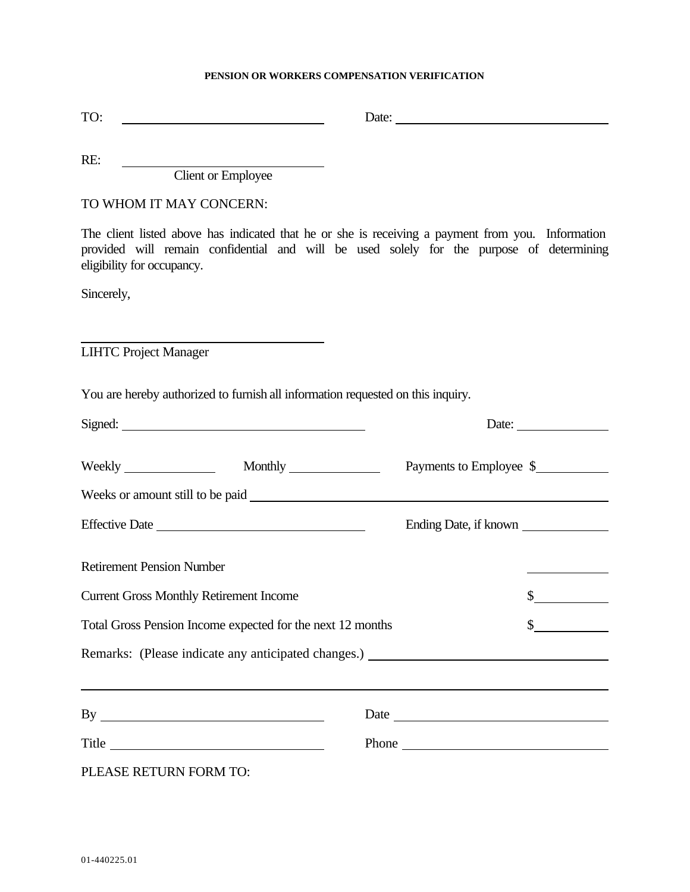## **PENSION OR WORKERS COMPENSATION VERIFICATION**

| TO:                                                                                                                                                                                                                                  |                         |                             |
|--------------------------------------------------------------------------------------------------------------------------------------------------------------------------------------------------------------------------------------|-------------------------|-----------------------------|
| RE:<br>Client or Employee                                                                                                                                                                                                            |                         |                             |
| TO WHOM IT MAY CONCERN:                                                                                                                                                                                                              |                         |                             |
| The client listed above has indicated that he or she is receiving a payment from you. Information<br>provided will remain confidential and will be used solely for the purpose of determining<br>eligibility for occupancy.          |                         |                             |
| Sincerely,                                                                                                                                                                                                                           |                         |                             |
|                                                                                                                                                                                                                                      |                         |                             |
| <b>LIHTC Project Manager</b>                                                                                                                                                                                                         |                         |                             |
| You are hereby authorized to furnish all information requested on this inquiry.                                                                                                                                                      |                         |                             |
| Signed: <u>contract and contract and contract and contract and contract and contract and contract and contract and contract and contract and contract and contract and contract and contract and contract and contract and contr</u> |                         | Date:                       |
|                                                                                                                                                                                                                                      | Payments to Employee \$ |                             |
|                                                                                                                                                                                                                                      |                         |                             |
|                                                                                                                                                                                                                                      | Ending Date, if known   |                             |
| <b>Retirement Pension Number</b>                                                                                                                                                                                                     |                         |                             |
| <b>Current Gross Monthly Retirement Income</b>                                                                                                                                                                                       |                         | \$                          |
| Total Gross Pension Income expected for the next 12 months                                                                                                                                                                           |                         | $\frac{\text{S}}{\text{S}}$ |
| Remarks: (Please indicate any anticipated changes.) _____________________________                                                                                                                                                    |                         |                             |
|                                                                                                                                                                                                                                      |                         |                             |
|                                                                                                                                                                                                                                      |                         |                             |
| Title                                                                                                                                                                                                                                | Phone                   |                             |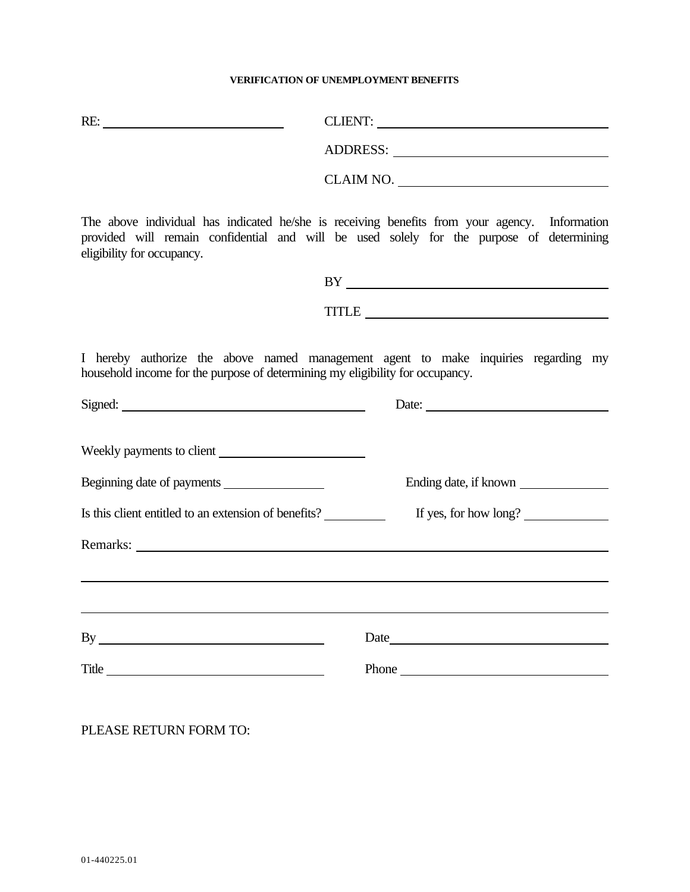### **VERIFICATION OF UNEMPLOYMENT BENEFITS**

| RE:                                                                                                                                                                                                                                                                                                                                                                         | CLIENT:                                                                                                                                                                                                                              |
|-----------------------------------------------------------------------------------------------------------------------------------------------------------------------------------------------------------------------------------------------------------------------------------------------------------------------------------------------------------------------------|--------------------------------------------------------------------------------------------------------------------------------------------------------------------------------------------------------------------------------------|
|                                                                                                                                                                                                                                                                                                                                                                             |                                                                                                                                                                                                                                      |
|                                                                                                                                                                                                                                                                                                                                                                             |                                                                                                                                                                                                                                      |
| eligibility for occupancy.                                                                                                                                                                                                                                                                                                                                                  | The above individual has indicated he/she is receiving benefits from your agency. Information<br>provided will remain confidential and will be used solely for the purpose of determining                                            |
|                                                                                                                                                                                                                                                                                                                                                                             |                                                                                                                                                                                                                                      |
|                                                                                                                                                                                                                                                                                                                                                                             | TITLE <b>Executive Contract Contract Contract Contract Contract Contract Contract Contract Contract Contract Contract Contract Contract Contract Contract Contract Contract Contract Contract Contract Contract Contract Contrac</b> |
| household income for the purpose of determining my eligibility for occupancy.<br>Signed: <u>Signed:</u> Signed: <b>Signed:</b> Signed: <b>Signed:</b> Signed: <b>Signed:</b> Signed: <b>Signed:</b> Signed: <b>Signed:</b> Signed: <b>Signed:</b> Signed: <b>Signed:</b> Signed: <b>Signed:</b> Signed: <b>Signed:</b> Signed: <b>Signed:</b> Signed: <b>Signed:</b> Signed | I hereby authorize the above named management agent to make inquiries regarding my<br>Date:                                                                                                                                          |
|                                                                                                                                                                                                                                                                                                                                                                             |                                                                                                                                                                                                                                      |
| Beginning date of payments                                                                                                                                                                                                                                                                                                                                                  | Ending date, if known                                                                                                                                                                                                                |
| Is this client entitled to an extension of benefits?                                                                                                                                                                                                                                                                                                                        | If yes, for how long?                                                                                                                                                                                                                |
|                                                                                                                                                                                                                                                                                                                                                                             |                                                                                                                                                                                                                                      |
|                                                                                                                                                                                                                                                                                                                                                                             |                                                                                                                                                                                                                                      |
| $By \_\_$                                                                                                                                                                                                                                                                                                                                                                   |                                                                                                                                                                                                                                      |
| Title                                                                                                                                                                                                                                                                                                                                                                       | Phone                                                                                                                                                                                                                                |
|                                                                                                                                                                                                                                                                                                                                                                             |                                                                                                                                                                                                                                      |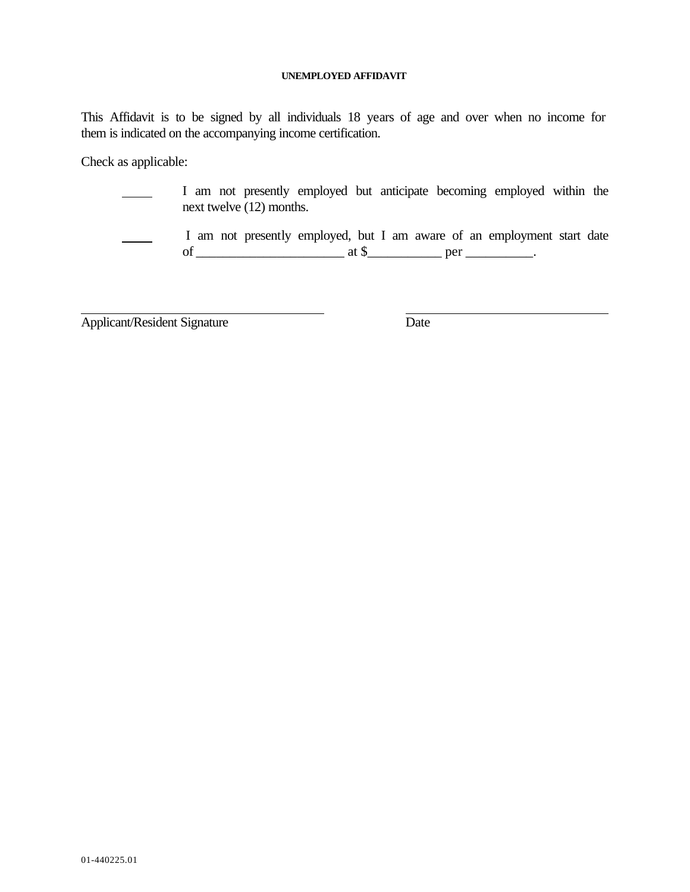## **UNEMPLOYED AFFIDAVIT**

This Affidavit is to be signed by all individuals 18 years of age and over when no income for them is indicated on the accompanying income certification.

Check as applicable:

 I am not presently employed but anticipate becoming employed within the next twelve (12) months.

 $\overline{\phantom{0}}$ 

 I am not presently employed, but I am aware of an employment start date of \_\_\_\_\_\_\_\_\_\_\_\_\_\_\_\_\_\_\_\_\_\_ at \$\_\_\_\_\_\_\_\_\_\_\_ per \_\_\_\_\_\_\_\_\_\_.

Applicant/Resident Signature Date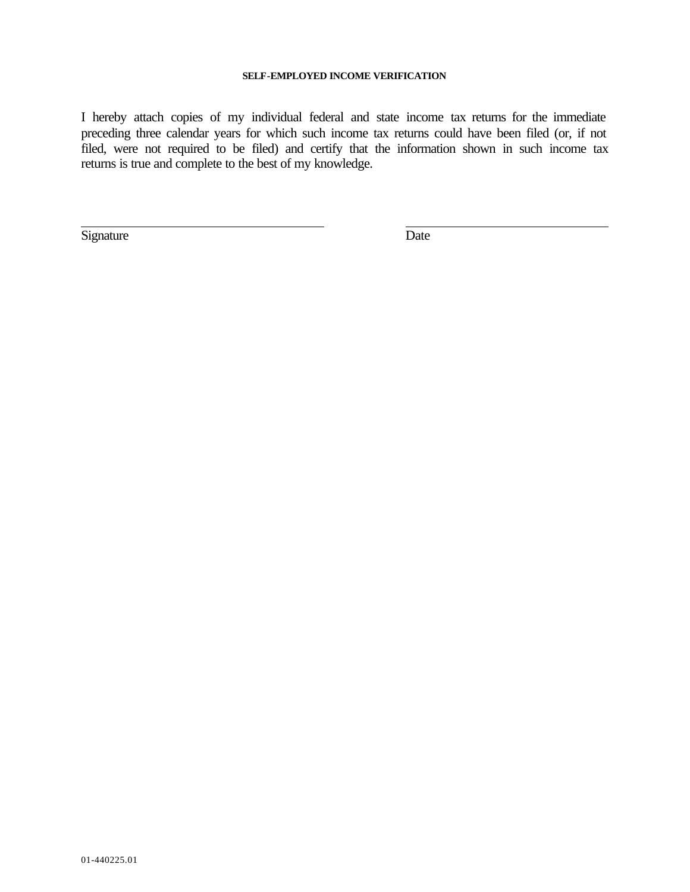## **SELF-EMPLOYED INCOME VERIFICATION**

I hereby attach copies of my individual federal and state income tax returns for the immediate preceding three calendar years for which such income tax returns could have been filed (or, if not filed, were not required to be filed) and certify that the information shown in such income tax returns is true and complete to the best of my knowledge.

Signature Date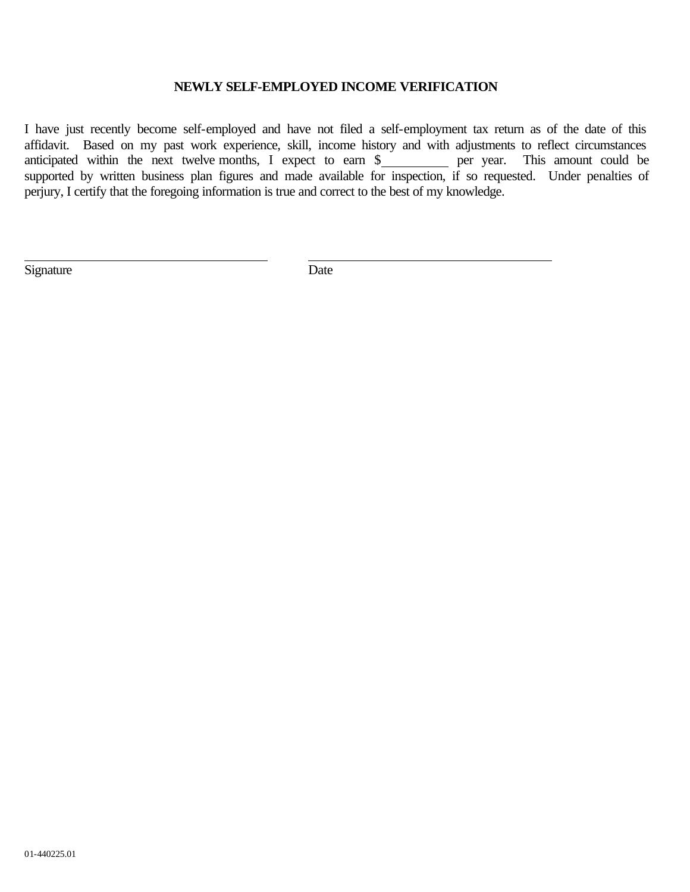## **NEWLY SELF-EMPLOYED INCOME VERIFICATION**

I have just recently become self-employed and have not filed a self-employment tax return as of the date of this affidavit. Based on my past work experience, skill, income history and with adjustments to reflect circumstances anticipated within the next twelve months, I expect to earn  $\frac{1}{2}$  per year. This amount could be supported by written business plan figures and made available for inspection, if so requested. Under penalties of perjury, I certify that the foregoing information is true and correct to the best of my knowledge.

Signature Date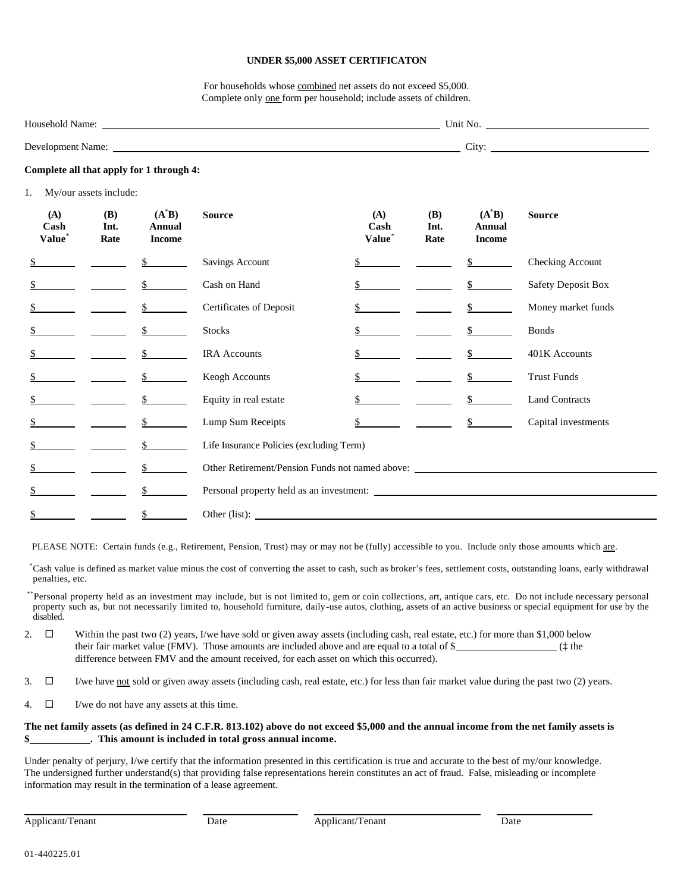#### **UNDER \$5,000 ASSET CERTIFICATON**

For households whose combined net assets do not exceed \$5,000. Complete only one form per household; include assets of children.

| Household Name:   | Unit No.                |  |
|-------------------|-------------------------|--|
| Development Name: | r.<br>$\mathcal{L}$ ity |  |

#### **Complete all that apply for 1 through 4:**

1. My/our assets include:

| (A)<br>Cash<br>Value* | (B)<br>Int.<br>Rate | $(A^*B)$<br>Annual<br><b>Income</b> | <b>Source</b>                                                                     | (A)<br>Cash<br>Value <sup>*</sup> | <b>(B)</b><br>Int.<br>Rate | $(A^*B)$<br>Annual<br><b>Income</b> | <b>Source</b>             |
|-----------------------|---------------------|-------------------------------------|-----------------------------------------------------------------------------------|-----------------------------------|----------------------------|-------------------------------------|---------------------------|
|                       |                     | $\mathbb{S}$                        | Savings Account                                                                   |                                   |                            | $\sim$                              | Checking Account          |
|                       |                     | $\mathbb{S}^-$                      | Cash on Hand                                                                      |                                   |                            | $\mathbb{S}^-$                      | <b>Safety Deposit Box</b> |
| \$                    |                     | $\mathbb{S}$                        | Certificates of Deposit                                                           |                                   |                            | $\mathbb{S}$                        | Money market funds        |
|                       |                     | $\mathbb{S}$                        | Stocks                                                                            |                                   |                            | $\mathbb{S}$                        | <b>Bonds</b>              |
|                       |                     | $\mathbb{S}$                        | <b>IRA</b> Accounts                                                               |                                   |                            | $\mathbb{S}$                        | 401K Accounts             |
|                       |                     | $\mathbb{S}$                        | Keogh Accounts                                                                    |                                   |                            |                                     | <b>Trust Funds</b>        |
|                       |                     | $\mathbb{S}$                        | Equity in real estate                                                             |                                   |                            |                                     | <b>Land Contracts</b>     |
|                       |                     | $\mathbb{S}$                        | Lump Sum Receipts                                                                 |                                   |                            | $\mathsf{\underline{S}}$            | Capital investments       |
|                       |                     | $\mathbb{S}$                        | Life Insurance Policies (excluding Term)                                          |                                   |                            |                                     |                           |
|                       |                     |                                     | Other Retirement/Pension Funds not named above: _________________________________ |                                   |                            |                                     |                           |
| \$                    |                     | $\mathbb{S}$                        |                                                                                   |                                   |                            |                                     |                           |
| \$                    |                     | $\frac{1}{2}$                       |                                                                                   |                                   |                            |                                     |                           |

PLEASE NOTE: Certain funds (e.g., Retirement, Pension, Trust) may or may not be (fully) accessible to you. Include only those amounts which are.

\*Cash value is defined as market value minus the cost of converting the asset to cash, such as broker's fees, settlement costs, outstanding loans, early withdrawal penalties, etc.

\*\*Personal property held as an investment may include, but is not limited to, gem or coin collections, art, antique cars, etc. Do not include necessary personal property such as, but not necessarily limited to, household furniture, daily-use autos, clothing, assets of an active business or special equipment for use by the disabled.

- 2.  $\square$  Within the past two (2) years, I/we have sold or given away assets (including cash, real estate, etc.) for more than \$1,000 below their fair market value (FMV). Those amounts are included above and are equal to a total of  $\frac{1}{2}$  ( $\frac{1}{2}$  the difference between FMV and the amount received, for each asset on which this occurred).
- 3.  $\square$  I/we have <u>not</u> sold or given away assets (including cash, real estate, etc.) for less than fair market value during the past two (2) years.
- 4.  $\Box$  I/we do not have any assets at this time.

### **The net family assets (as defined in 24 C.F.R. 813.102) above do not exceed \$5,000 and the annual income from the net family assets is \$ . This amount is included in total gross annual income.**

Under penalty of perjury, I/we certify that the information presented in this certification is true and accurate to the best of my/our knowledge. The undersigned further understand(s) that providing false representations herein constitutes an act of fraud. False, misleading or incomplete information may result in the termination of a lease agreement.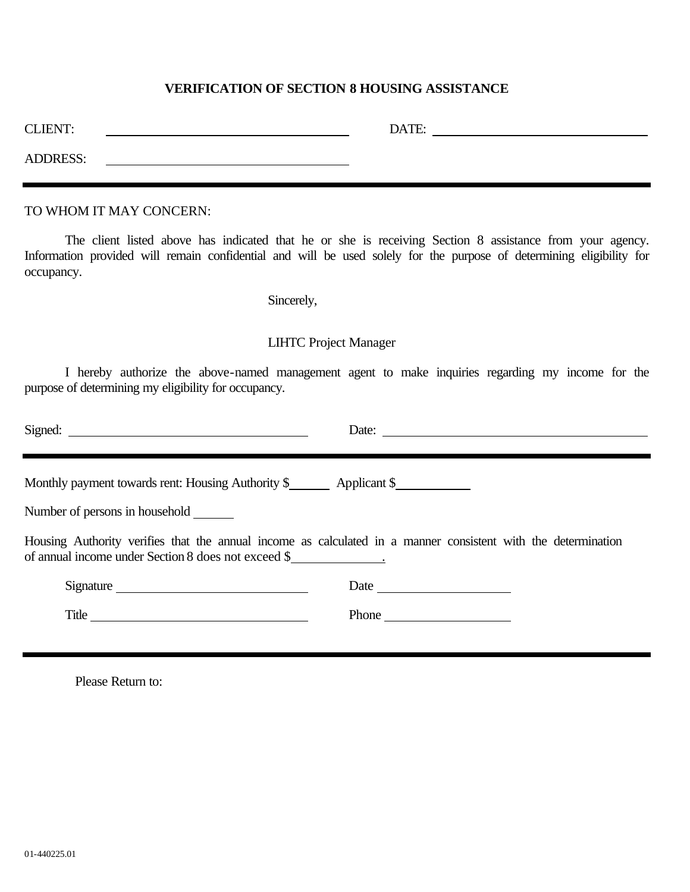## **VERIFICATION OF SECTION 8 HOUSING ASSISTANCE**

| <b>CLIENT:</b>  | DATE: |  |
|-----------------|-------|--|
| <b>ADDRESS:</b> |       |  |

TO WHOM IT MAY CONCERN:

The client listed above has indicated that he or she is receiving Section 8 assistance from your agency. Information provided will remain confidential and will be used solely for the purpose of determining eligibility for occupancy.

Sincerely,

## LIHTC Project Manager

I hereby authorize the above-named management agent to make inquiries regarding my income for the purpose of determining my eligibility for occupancy.

|                                                                           | Date: $\qquad \qquad$                                                                                         |
|---------------------------------------------------------------------------|---------------------------------------------------------------------------------------------------------------|
|                                                                           |                                                                                                               |
| Monthly payment towards rent: Housing Authority \$ _________ Applicant \$ |                                                                                                               |
| Number of persons in household                                            |                                                                                                               |
| of annual income under Section 8 does not exceed \$                       | Housing Authority verifies that the annual income as calculated in a manner consistent with the determination |
| Signature                                                                 |                                                                                                               |
| Title                                                                     |                                                                                                               |
|                                                                           |                                                                                                               |

Please Return to: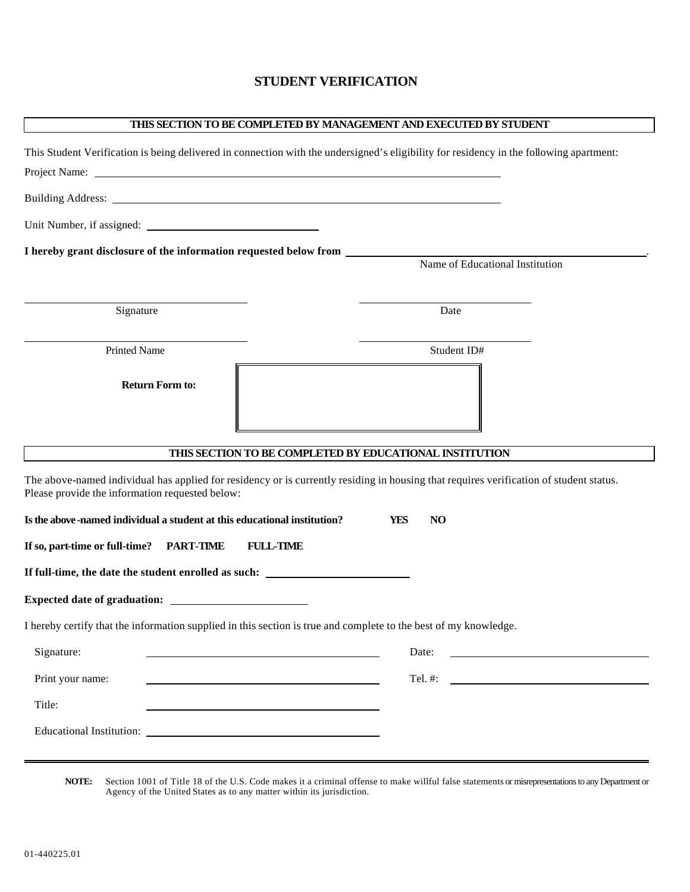## **STUDENT VERIFICATION**

| THIS SECTION TO BE COMPLETED BY MANAGEMENT AND EXECUTED BY STUDENT                                                                                                                        |                                                                                                                               |
|-------------------------------------------------------------------------------------------------------------------------------------------------------------------------------------------|-------------------------------------------------------------------------------------------------------------------------------|
| This Student Verification is being delivered in connection with the undersigned's eligibility for residency in the following apartment:                                                   |                                                                                                                               |
|                                                                                                                                                                                           |                                                                                                                               |
|                                                                                                                                                                                           |                                                                                                                               |
|                                                                                                                                                                                           |                                                                                                                               |
| I hereby grant disclosure of the information requested below from ______________                                                                                                          |                                                                                                                               |
|                                                                                                                                                                                           | Name of Educational Institution                                                                                               |
| Signature                                                                                                                                                                                 | Date                                                                                                                          |
| <b>Printed Name</b>                                                                                                                                                                       | Student ID#                                                                                                                   |
| <b>Return Form to:</b>                                                                                                                                                                    |                                                                                                                               |
| THIS SECTION TO BE COMPLETED BY EDUCATIONAL INSTITUTION                                                                                                                                   |                                                                                                                               |
| The above-named individual has applied for residency or is currently residing in housing that requires verification of student status.<br>Please provide the information requested below: |                                                                                                                               |
| Is the above-named individual a student at this educational institution?                                                                                                                  | <b>YES</b><br><b>NO</b>                                                                                                       |
| If so, part-time or full-time? PART-TIME<br><b>FULL-TIME</b>                                                                                                                              |                                                                                                                               |
| If full-time, the date the student enrolled as such: ___________________________                                                                                                          |                                                                                                                               |
|                                                                                                                                                                                           |                                                                                                                               |
| I hereby certify that the information supplied in this section is true and complete to the best of my knowledge.                                                                          |                                                                                                                               |
| Signature:                                                                                                                                                                                | Date:<br><u> 1989 - Johann Stein, fransk politik en og den som forskellige og den som forskellige og den som forskellige </u> |
| Print your name:<br><u> 1989 - Johann John Stein, markin sanadi a shekara 1989 - An an tsarani a shekara 1989 - An an tsara</u>                                                           |                                                                                                                               |
| Title:                                                                                                                                                                                    |                                                                                                                               |
|                                                                                                                                                                                           |                                                                                                                               |

**NOTE:** Section 1001 of Title 18 of the U.S. Code makes it a criminal offense to make willful false statements or misrepresentations to any Department or Agency of the United States as to any matter within its jurisdiction.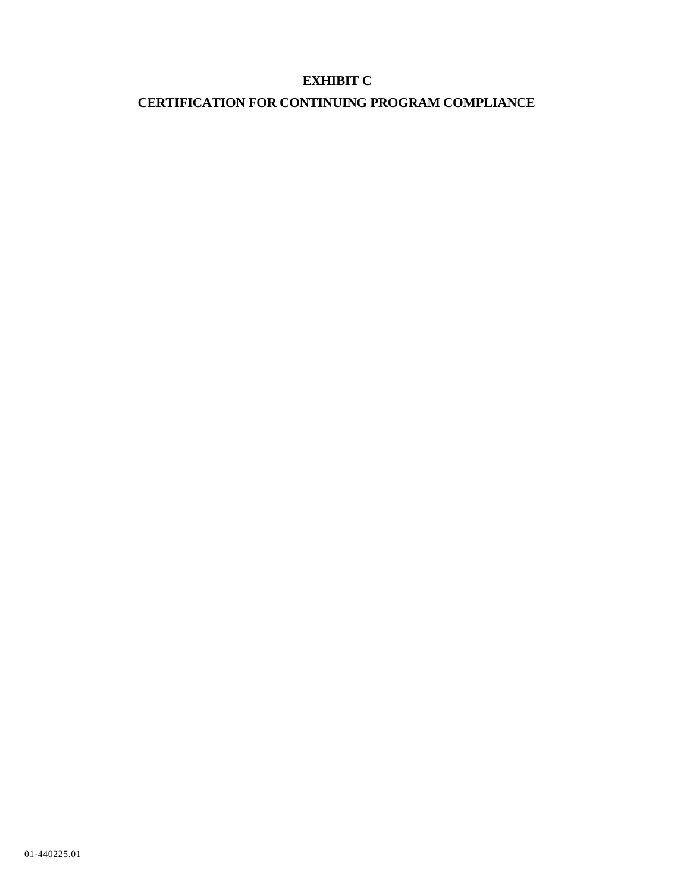# **EXHIBIT C**

# **CERTIFICATION FOR CONTINUING PROGRAM COMPLIANCE**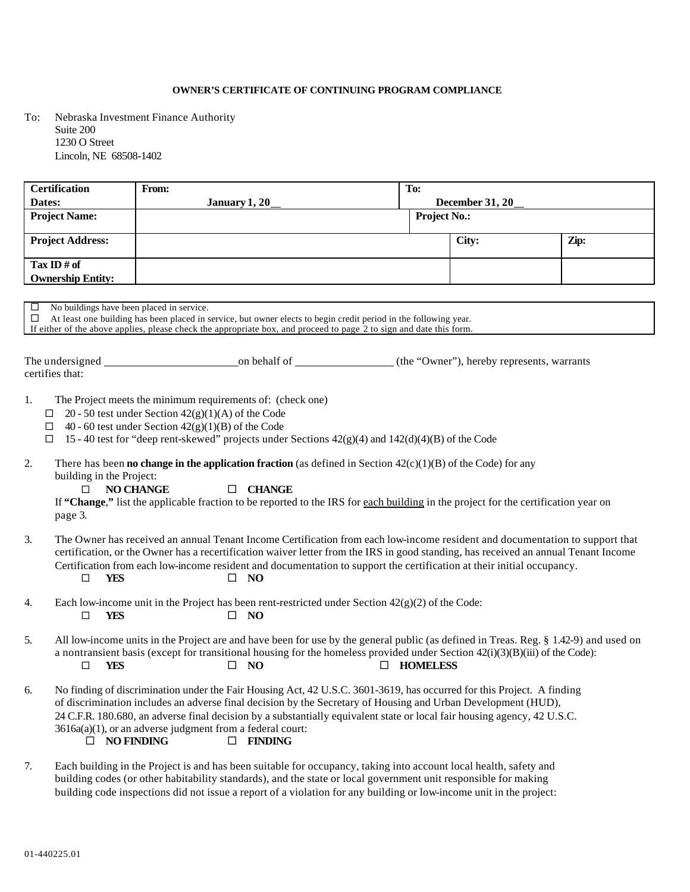### **OWNER'S CERTIFICATE OF CONTINUING PROGRAM COMPLIANCE**

To: Nebraska Investment Finance Authority Suite 200 1230 O Street Lincoln, NE 68508-1402

| <b>Certification</b>                                | From:                                                                                                                                                                                                                                   | To:                 |                        |      |
|-----------------------------------------------------|-----------------------------------------------------------------------------------------------------------------------------------------------------------------------------------------------------------------------------------------|---------------------|------------------------|------|
| Dates:                                              | <b>January 1, 20</b>                                                                                                                                                                                                                    |                     | <b>December 31, 20</b> |      |
| <b>Project Name:</b>                                |                                                                                                                                                                                                                                         | <b>Project No.:</b> |                        |      |
| <b>Project Address:</b>                             |                                                                                                                                                                                                                                         |                     | City:                  | Zip: |
| Tax ID # of                                         |                                                                                                                                                                                                                                         |                     |                        |      |
| <b>Ownership Entity:</b>                            |                                                                                                                                                                                                                                         |                     |                        |      |
|                                                     |                                                                                                                                                                                                                                         |                     |                        |      |
| No buildings have been placed in service.<br>$\Box$ | $\Box$ At least one building has been placed in service, but owner elects to begin credit period in the following year.                                                                                                                 |                     |                        |      |
|                                                     | If either of the above applies, please check the appropriate box, and proceed to page 2 to sign and date this form.                                                                                                                     |                     |                        |      |
|                                                     |                                                                                                                                                                                                                                         |                     |                        |      |
|                                                     |                                                                                                                                                                                                                                         |                     |                        |      |
| certifies that:                                     |                                                                                                                                                                                                                                         |                     |                        |      |
|                                                     |                                                                                                                                                                                                                                         |                     |                        |      |
| 1.                                                  | The Project meets the minimum requirements of: (check one)                                                                                                                                                                              |                     |                        |      |
| □                                                   | 20 - 50 test under Section $42(g)(1)(A)$ of the Code<br>$\Box$ 40 - 60 test under Section 42(g)(1)(B) of the Code                                                                                                                       |                     |                        |      |
| $\Box$                                              | 15 - 40 test for "deep rent-skewed" projects under Sections 42(g)(4) and 142(d)(4)(B) of the Code                                                                                                                                       |                     |                        |      |
|                                                     |                                                                                                                                                                                                                                         |                     |                        |      |
| 2.                                                  | There has been <b>no change in the application fraction</b> (as defined in Section $42(c)(1)(B)$ of the Code) for any                                                                                                                   |                     |                        |      |
| building in the Project:<br>$\Box$                  | <b>NO CHANGE</b><br>$\Box$ CHANGE                                                                                                                                                                                                       |                     |                        |      |
|                                                     | If "Change," list the applicable fraction to be reported to the IRS for each building in the project for the certification year on                                                                                                      |                     |                        |      |
| page 3.                                             |                                                                                                                                                                                                                                         |                     |                        |      |
|                                                     |                                                                                                                                                                                                                                         |                     |                        |      |
| 3.                                                  | The Owner has received an annual Tenant Income Certification from each low-income resident and documentation to support that                                                                                                            |                     |                        |      |
|                                                     | certification, or the Owner has a recertification waiver letter from the IRS in good standing, has received an annual Tenant Income                                                                                                     |                     |                        |      |
| $\Box$<br>YES                                       | Certification from each low-income resident and documentation to support the certification at their initial occupancy.<br><b>NO</b><br>$\Box$                                                                                           |                     |                        |      |
|                                                     |                                                                                                                                                                                                                                         |                     |                        |      |
| 4.                                                  | Each low-income unit in the Project has been rent-restricted under Section $42(g)(2)$ of the Code:                                                                                                                                      |                     |                        |      |
| $\Box$<br><b>YES</b>                                | $\square$ NO                                                                                                                                                                                                                            |                     |                        |      |
| 5.                                                  | All low-income units in the Project are and have been for use by the general public (as defined in Treas. Reg. § 1.42-9) and used on                                                                                                    |                     |                        |      |
|                                                     | a nontransient basis (except for transitional housing for the homeless provided under Section 42(i)(3)(B)(iii) of the Code):                                                                                                            |                     |                        |      |
| <b>YES</b><br>$\Box$                                | $\square$ NO                                                                                                                                                                                                                            | <b>HOMELESS</b>     |                        |      |
|                                                     |                                                                                                                                                                                                                                         |                     |                        |      |
| 6.                                                  | No finding of discrimination under the Fair Housing Act, 42 U.S.C. 3601-3619, has occurred for this Project. A finding<br>of discrimination includes an adverse final decision by the Secretary of Housing and Urban Development (HUD), |                     |                        |      |
|                                                     | 24 C.F.R. 180.680, an adverse final decision by a substantially equivalent state or local fair housing agency, 42 U.S.C.                                                                                                                |                     |                        |      |
|                                                     | 3616a(a)(1), or an adverse judgment from a federal court:                                                                                                                                                                               |                     |                        |      |
| $\Box$ NO FINDING                                   | $\Box$ FINDING                                                                                                                                                                                                                          |                     |                        |      |
|                                                     |                                                                                                                                                                                                                                         |                     |                        |      |
| 7.                                                  | Each building in the Project is and has been suitable for occupancy, taking into account local health, safety and<br>building codes (or other habitability standards), and the state or local government unit responsible for making    |                     |                        |      |

building code inspections did not issue a report of a violation for any building or low-income unit in the project: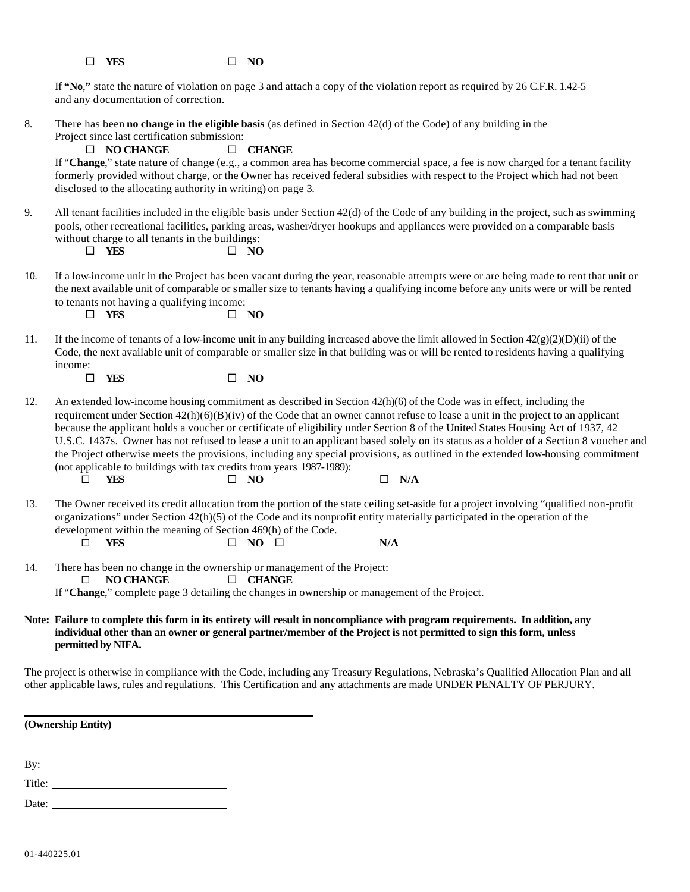|  | $\Box$ YES |  |  | $\square$ NO |
|--|------------|--|--|--------------|
|--|------------|--|--|--------------|

If **"No**,**"** state the nature of violation on page 3 and attach a copy of the violation report as required by 26 C.F.R. 1.42-5 and any documentation of correction.

8. There has been **no change in the eligible basis** (as defined in Section 42(d) of the Code) of any building in the Project since last certification submission:

### ® **NO CHANGE** ® **CHANGE**

If "**Change**," state nature of change (e.g., a common area has become commercial space, a fee is now charged for a tenant facility formerly provided without charge, or the Owner has received federal subsidies with respect to the Project which had not been disclosed to the allocating authority in writing) on page 3.

9. All tenant facilities included in the eligible basis under Section 42(d) of the Code of any building in the project, such as swimming pools, other recreational facilities, parking areas, washer/dryer hookups and appliances were provided on a comparable basis without charge to all tenants in the buildings:

 $\Box$  YES  $\Box$  NO

10. If a low-income unit in the Project has been vacant during the year, reasonable attempts were or are being made to rent that unit or the next available unit of comparable or smaller size to tenants having a qualifying income before any units were or will be rented to tenants not having a qualifying income:

 $\Box$  YES  $\Box$  NO

11. If the income of tenants of a low-income unit in any building increased above the limit allowed in Section  $42(g)(2)(D)(ii)$  of the Code, the next available unit of comparable or smaller size in that building was or will be rented to residents having a qualifying income:

 $\square$  **YES**  $\square$  **NO** 

12. An extended low-income housing commitment as described in Section 42(h)(6) of the Code was in effect, including the requirement under Section 42(h)(6)(B)(iv) of the Code that an owner cannot refuse to lease a unit in the project to an applicant because the applicant holds a voucher or certificate of eligibility under Section 8 of the United States Housing Act of 1937, 42 U.S.C. 1437s. Owner has not refused to lease a unit to an applicant based solely on its status as a holder of a Section 8 voucher and the Project otherwise meets the provisions, including any special provisions, as outlined in the extended low-housing commitment (not applicable to buildings with tax credits from years 1987-1989):

® **YES** ® **NO** ® **N/A**

13. The Owner received its credit allocation from the portion of the state ceiling set-aside for a project involving "qualified non-profit organizations" under Section 42(h)(5) of the Code and its nonprofit entity materially participated in the operation of the development within the meaning of Section 469(h) of the Code.

|  | $\Box$ | YES | $\square$ NO<br>$\Box$ | N/A |
|--|--------|-----|------------------------|-----|
|--|--------|-----|------------------------|-----|

14. There has been no change in the ownership or management of the Project:

® **NO CHANGE** ® **CHANGE**

If "**Change**," complete page 3 detailing the changes in ownership or management of the Project.

### **Note: Failure to complete this form in its entirety will result in noncompliance with program requirements. In addition, any individual other than an owner or general partner/member of the Project is not permitted to sign this form, unless permitted by NIFA.**

The project is otherwise in compliance with the Code, including any Treasury Regulations, Nebraska's Qualified Allocation Plan and all other applicable laws, rules and regulations. This Certification and any attachments are made UNDER PENALTY OF PERJURY.

**(Ownership Entity)**

By:  $\qquad \qquad$ 

Title: Date: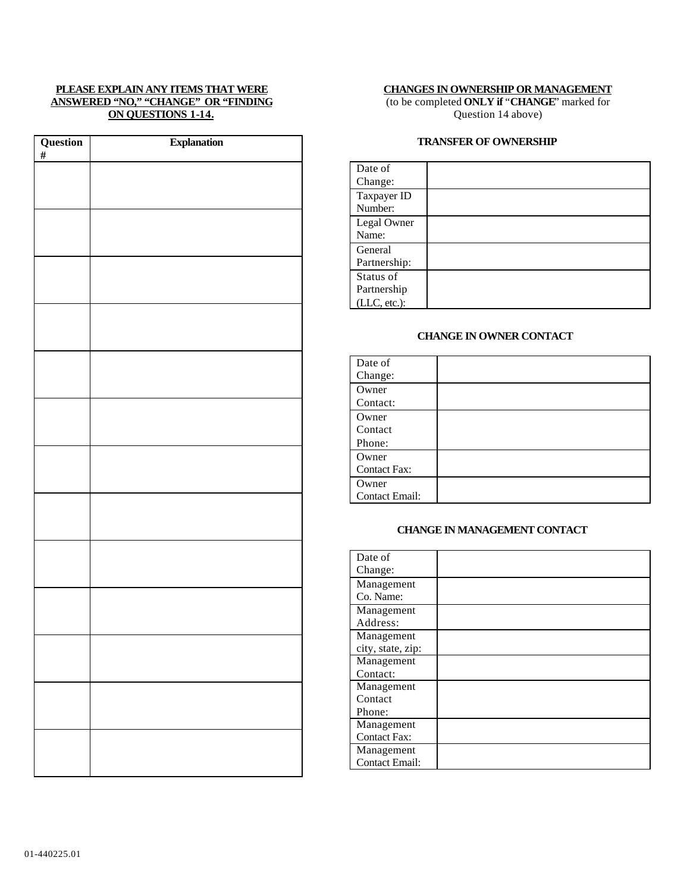### **PLEASE EXPLAIN ANY ITEMS THAT WERE ANSWERED "NO," "CHANGE" OR "FINDING ON QUESTIONS 1-14.**

| Question $\frac{\text{#}}{\text{#}}$ | <b>Explanation</b> |
|--------------------------------------|--------------------|
|                                      |                    |
|                                      |                    |
|                                      |                    |
|                                      |                    |
|                                      |                    |
|                                      |                    |
|                                      |                    |
|                                      |                    |
|                                      |                    |
|                                      |                    |
|                                      |                    |
|                                      |                    |
|                                      |                    |
|                                      |                    |
|                                      |                    |
|                                      |                    |
|                                      |                    |
|                                      |                    |
|                                      |                    |
|                                      |                    |
|                                      |                    |
|                                      |                    |
|                                      |                    |

## **CHANGES IN OWNERSHIP OR MANAGEMENT**

(to be completed **ONLY if** "**CHANGE**" marked for Question 14 above)

### **TRANSFER OF OWNERSHIP**

## **CHANGE IN OWNER CONTACT**

| Date of               |  |
|-----------------------|--|
| Change:               |  |
| Owner                 |  |
| Contact:              |  |
| Owner                 |  |
| Contact               |  |
| Phone:                |  |
| Owner                 |  |
| <b>Contact Fax:</b>   |  |
| Owner                 |  |
| <b>Contact Email:</b> |  |

### **CHANGE IN MANAGEMENT CONTACT**

| Date of               |  |
|-----------------------|--|
| Change:               |  |
| Management            |  |
| Co. Name:             |  |
| Management            |  |
| Address:              |  |
| Management            |  |
| city, state, zip:     |  |
| Management            |  |
| Contact:              |  |
| Management            |  |
| Contact               |  |
| Phone:                |  |
| Management            |  |
| <b>Contact Fax:</b>   |  |
| Management            |  |
| <b>Contact Email:</b> |  |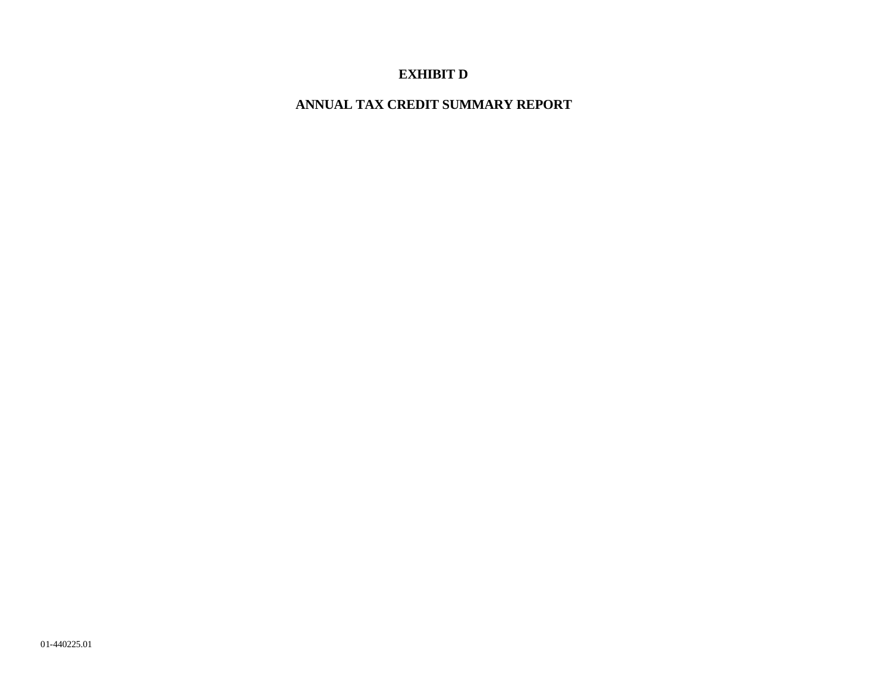# **EXHIBIT D**

**ANNUAL TAX CREDIT SUMMARY REPORT**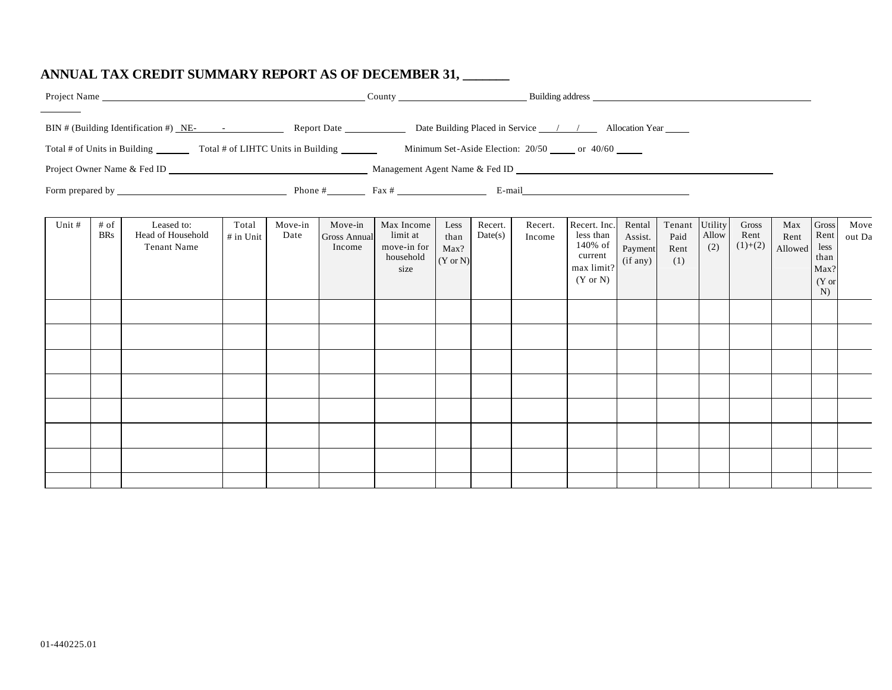# **ANNUAL TAX CREDIT SUMMARY REPORT AS OF DECEMBER 31, \_\_\_\_\_\_\_**

|        |                      | BIN # (Building Identification #) NE- - - Report Date Report Date Date Building Placed in Service / / Allocation Year |                      |                 |                                          |                                                            |                                             |                    |                   |                                                                                      |                                          |                               |                         |                            |                        |                                                               |                |
|--------|----------------------|-----------------------------------------------------------------------------------------------------------------------|----------------------|-----------------|------------------------------------------|------------------------------------------------------------|---------------------------------------------|--------------------|-------------------|--------------------------------------------------------------------------------------|------------------------------------------|-------------------------------|-------------------------|----------------------------|------------------------|---------------------------------------------------------------|----------------|
|        |                      |                                                                                                                       |                      |                 |                                          |                                                            |                                             |                    |                   |                                                                                      |                                          |                               |                         |                            |                        |                                                               |                |
| Unit # | $#$ of<br><b>BRs</b> | Leased to:<br>Head of Household<br><b>Tenant Name</b>                                                                 | Total<br>$#$ in Unit | Move-in<br>Date | Move-in<br><b>Gross Annual</b><br>Income | Max Income<br>limit at<br>move-in for<br>household<br>size | Less<br>than<br>Max?<br>$(Y \text{ or } N)$ | Recert.<br>Date(s) | Recert.<br>Income | Recert. Inc.<br>less than<br>140% of<br>current<br>max limit?<br>$(Y \text{ or } N)$ | Rental<br>Assist.<br>Payment<br>(if any) | Tenant<br>Paid<br>Rent<br>(1) | Utility<br>Allow<br>(2) | Gross<br>Rent<br>$(1)+(2)$ | Max<br>Rent<br>Allowed | <b>Gross</b><br>Rent<br>less<br>than<br>Max?<br>$(Y$ or<br>N) | Move<br>out Da |
|        |                      |                                                                                                                       |                      |                 |                                          |                                                            |                                             |                    |                   |                                                                                      |                                          |                               |                         |                            |                        |                                                               |                |
|        |                      |                                                                                                                       |                      |                 |                                          |                                                            |                                             |                    |                   |                                                                                      |                                          |                               |                         |                            |                        |                                                               |                |
|        |                      |                                                                                                                       |                      |                 |                                          |                                                            |                                             |                    |                   |                                                                                      |                                          |                               |                         |                            |                        |                                                               |                |
|        |                      |                                                                                                                       |                      |                 |                                          |                                                            |                                             |                    |                   |                                                                                      |                                          |                               |                         |                            |                        |                                                               |                |
|        |                      |                                                                                                                       |                      |                 |                                          |                                                            |                                             |                    |                   |                                                                                      |                                          |                               |                         |                            |                        |                                                               |                |
|        |                      |                                                                                                                       |                      |                 |                                          |                                                            |                                             |                    |                   |                                                                                      |                                          |                               |                         |                            |                        |                                                               |                |
|        |                      |                                                                                                                       |                      |                 |                                          |                                                            |                                             |                    |                   |                                                                                      |                                          |                               |                         |                            |                        |                                                               |                |
|        |                      |                                                                                                                       |                      |                 |                                          |                                                            |                                             |                    |                   |                                                                                      |                                          |                               |                         |                            |                        |                                                               |                |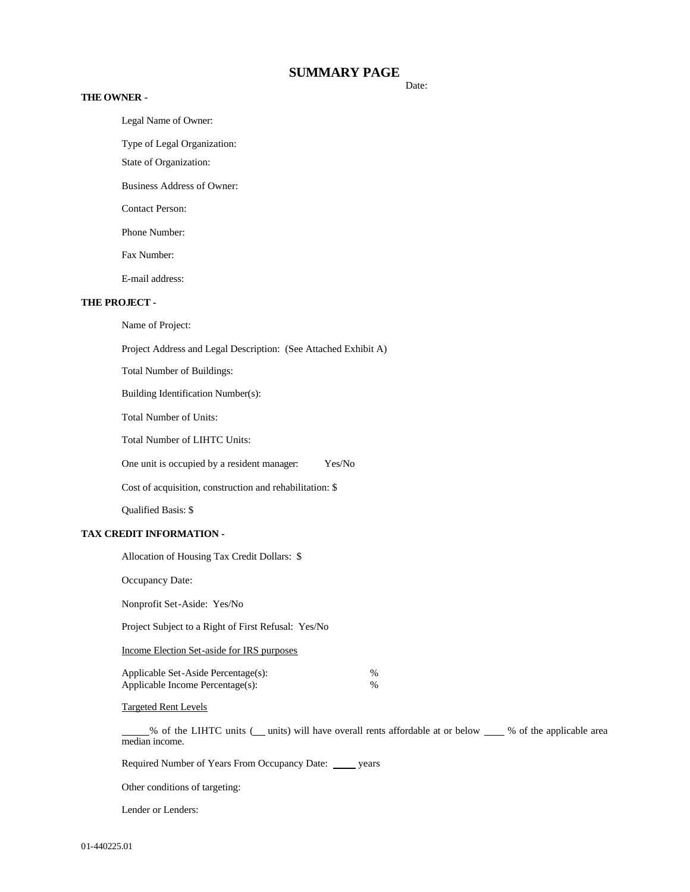## **SUMMARY PAGE**

#### **THE OWNER -**

Legal Name of Owner:

Type of Legal Organization:

State of Organization:

Business Address of Owner:

Contact Person:

Phone Number:

Fax Number:

E-mail address:

#### **THE PROJECT -**

Name of Project:

Project Address and Legal Description: (See Attached Exhibit A)

Total Number of Buildings:

Building Identification Number(s):

Total Number of Units:

Total Number of LIHTC Units:

One unit is occupied by a resident manager: Yes/No

Cost of acquisition, construction and rehabilitation: \$

Qualified Basis: \$

### **TAX CREDIT INFORMATION -**

Allocation of Housing Tax Credit Dollars: \$

Occupancy Date:

Nonprofit Set-Aside: Yes/No

Project Subject to a Right of First Refusal: Yes/No

Income Election Set-aside for IRS purposes

| Applicable Set-Aside Percentage(s): | %             |
|-------------------------------------|---------------|
| Applicable Income Percentage(s):    | $\frac{0}{0}$ |

Targeted Rent Levels

% of the LIHTC units ( units) will have overall rents affordable at or below \_\_\_ % of the applicable area median income.

Required Number of Years From Occupancy Date: \_\_\_\_\_ years

Other conditions of targeting:

Lender or Lenders:

Date: